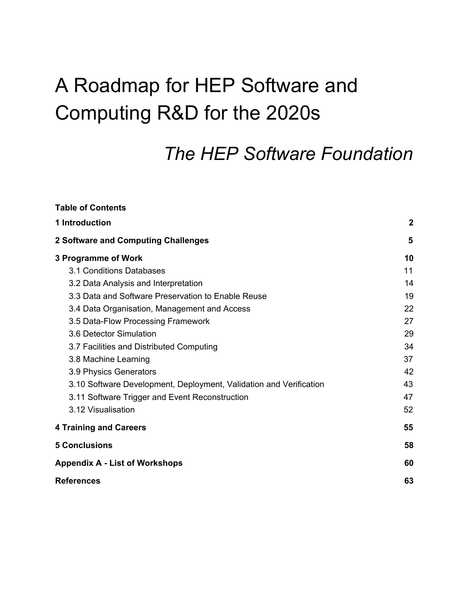# A Roadmap for HEP Software and Computing R&D for the 2020s

# *The HEP Software Foundation*

| <b>Table of Contents</b>                                           |                  |  |
|--------------------------------------------------------------------|------------------|--|
| 1 Introduction                                                     | $\boldsymbol{2}$ |  |
| 2 Software and Computing Challenges                                |                  |  |
| 3 Programme of Work                                                | 10               |  |
| 3.1 Conditions Databases                                           | 11               |  |
| 3.2 Data Analysis and Interpretation                               | 14               |  |
| 3.3 Data and Software Preservation to Enable Reuse                 | 19               |  |
| 3.4 Data Organisation, Management and Access                       | 22               |  |
| 3.5 Data-Flow Processing Framework                                 | 27               |  |
| 3.6 Detector Simulation                                            | 29               |  |
| 3.7 Facilities and Distributed Computing                           | 34               |  |
| 3.8 Machine Learning                                               | 37               |  |
| 3.9 Physics Generators                                             | 42               |  |
| 3.10 Software Development, Deployment, Validation and Verification | 43               |  |
| 3.11 Software Trigger and Event Reconstruction                     | 47               |  |
| 3.12 Visualisation                                                 | 52               |  |
| <b>4 Training and Careers</b>                                      | 55               |  |
| <b>5 Conclusions</b>                                               | 58               |  |
| <b>Appendix A - List of Workshops</b>                              | 60               |  |
| <b>References</b>                                                  | 63               |  |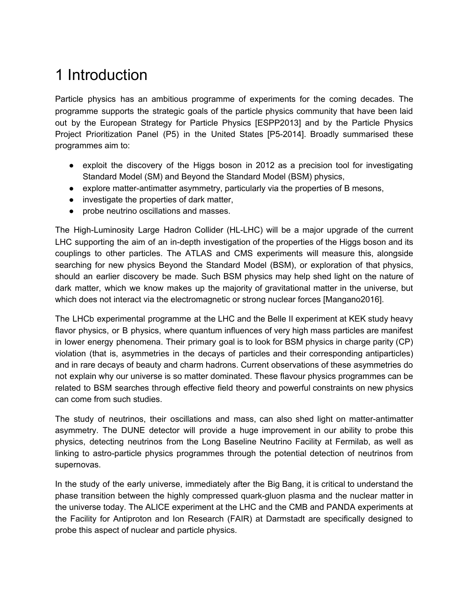# <span id="page-1-0"></span>1 Introduction

Particle physics has an ambitious programme of experiments for the coming decades. The programme supports the strategic goals of the particle physics community that have been laid out by the European Strategy for Particle Physics [ESPP2013] and by the Particle Physics Project Prioritization Panel (P5) in the United States [P5-2014]. Broadly summarised these programmes aim to:

- exploit the discovery of the Higgs boson in 2012 as a precision tool for investigating Standard Model (SM) and Beyond the Standard Model (BSM) physics,
- explore matter-antimatter asymmetry, particularly via the properties of B mesons,
- investigate the properties of dark matter,
- probe neutrino oscillations and masses.

The High-Luminosity Large Hadron Collider (HL-LHC) will be a major upgrade of the current LHC supporting the aim of an in-depth investigation of the properties of the Higgs boson and its couplings to other particles. The ATLAS and CMS experiments will measure this, alongside searching for new physics Beyond the Standard Model (BSM), or exploration of that physics, should an earlier discovery be made. Such BSM physics may help shed light on the nature of dark matter, which we know makes up the majority of gravitational matter in the universe, but which does not interact via the electromagnetic or strong nuclear forces [Mangano2016].

The LHCb experimental programme at the LHC and the Belle II experiment at KEK study heavy flavor physics, or B physics, where quantum influences of very high mass particles are manifest in lower energy phenomena. Their primary goal is to look for BSM physics in charge parity (CP) violation (that is, asymmetries in the decays of particles and their corresponding antiparticles) and in rare decays of beauty and charm hadrons. Current observations of these asymmetries do not explain why our universe is so matter dominated. These flavour physics programmes can be related to BSM searches through effective field theory and powerful constraints on new physics can come from such studies.

The study of neutrinos, their oscillations and mass, can also shed light on matter-antimatter asymmetry. The DUNE detector will provide a huge improvement in our ability to probe this physics, detecting neutrinos from the Long Baseline Neutrino Facility at Fermilab, as well as linking to astro-particle physics programmes through the potential detection of neutrinos from supernovas.

In the study of the early universe, immediately after the Big Bang, it is critical to understand the phase transition between the highly compressed quark-gluon plasma and the nuclear matter in the universe today. The ALICE experiment at the LHC and the CMB and PANDA experiments at the Facility for Antiproton and Ion Research (FAIR) at Darmstadt are specifically designed to probe this aspect of nuclear and particle physics.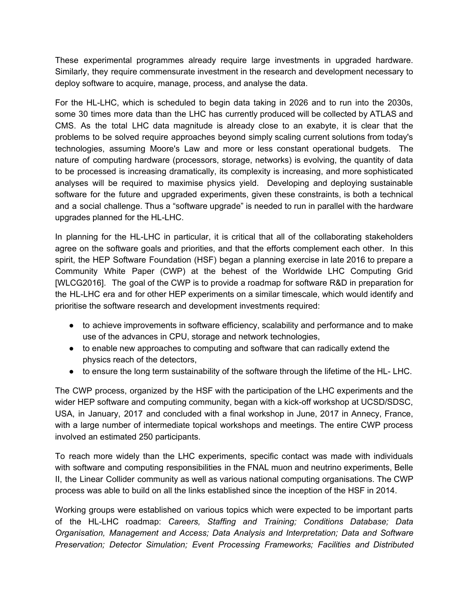These experimental programmes already require large investments in upgraded hardware. Similarly, they require commensurate investment in the research and development necessary to deploy software to acquire, manage, process, and analyse the data.

For the HL-LHC, which is scheduled to begin data taking in 2026 and to run into the 2030s, some 30 times more data than the LHC has currently produced will be collected by ATLAS and CMS. As the total LHC data magnitude is already close to an exabyte, it is clear that the problems to be solved require approaches beyond simply scaling current solutions from today's technologies, assuming Moore's Law and more or less constant operational budgets. The nature of computing hardware (processors, storage, networks) is evolving, the quantity of data to be processed is increasing dramatically, its complexity is increasing, and more sophisticated analyses will be required to maximise physics yield. Developing and deploying sustainable software for the future and upgraded experiments, given these constraints, is both a technical and a social challenge. Thus a "software upgrade" is needed to run in parallel with the hardware upgrades planned for the HL-LHC.

In planning for the HL-LHC in particular, it is critical that all of the collaborating stakeholders agree on the software goals and priorities, and that the efforts complement each other. In this spirit, the HEP Software Foundation (HSF) began a planning exercise in late 2016 to prepare a Community White Paper (CWP) at the behest of the Worldwide LHC Computing Grid [WLCG2016]. The goal of the CWP is to provide a roadmap for software R&D in preparation for the HL-LHC era and for other HEP experiments on a similar timescale, which would identify and prioritise the software research and development investments required:

- to achieve improvements in software efficiency, scalability and performance and to make use of the advances in CPU, storage and network technologies,
- to enable new approaches to computing and software that can radically extend the physics reach of the detectors,
- to ensure the long term sustainability of the software through the lifetime of the HL- LHC.

The CWP process, organized by the HSF with the participation of the LHC experiments and the wider HEP software and computing community, began with a kick-off workshop at UCSD/SDSC, USA, in January, 2017 and concluded with a final workshop in June, 2017 in Annecy, France, with a large number of intermediate topical workshops and meetings. The entire CWP process involved an estimated 250 participants.

To reach more widely than the LHC experiments, specific contact was made with individuals with software and computing responsibilities in the FNAL muon and neutrino experiments, Belle II, the Linear Collider community as well as various national computing organisations. The CWP process was able to build on all the links established since the inception of the HSF in 2014.

Working groups were established on various topics which were expected to be important parts of the HL-LHC roadmap: *Careers, Staffing and Training; Conditions Database; Data Organisation, Management and Access; Data Analysis and Interpretation; Data and Software Preservation; Detector Simulation; Event Processing Frameworks; Facilities and Distributed*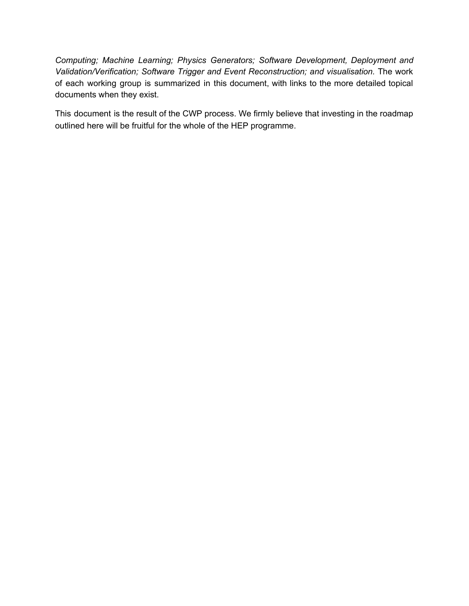*Computing; Machine Learning; Physics Generators; Software Development, Deployment and Validation/Verification; Software Trigger and Event Reconstruction; and visualisation.* The work of each working group is summarized in this document, with links to the more detailed topical documents when they exist.

This document is the result of the CWP process. We firmly believe that investing in the roadmap outlined here will be fruitful for the whole of the HEP programme.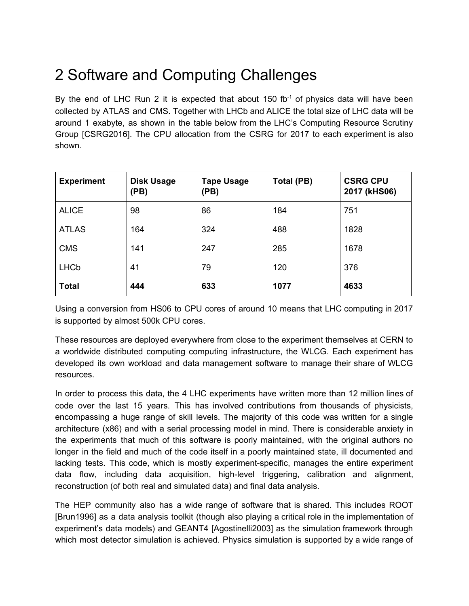# <span id="page-4-0"></span>2 Software and Computing Challenges

By the end of LHC Run 2 it is expected that about 150 fb $<sup>-1</sup>$  of physics data will have been</sup> collected by ATLAS and CMS. Together with LHCb and ALICE the total size of LHC data will be around 1 exabyte, as shown in the table below from the LHC's Computing Resource Scrutiny Group [CSRG2016]. The CPU allocation from the CSRG for 2017 to each experiment is also shown.

| <b>Experiment</b> | <b>Disk Usage</b><br>(PB) | <b>Tape Usage</b><br>(PB) | Total (PB) | <b>CSRG CPU</b><br>2017 (kHS06) |
|-------------------|---------------------------|---------------------------|------------|---------------------------------|
| <b>ALICE</b>      | 98                        | 86                        | 184        | 751                             |
| <b>ATLAS</b>      | 164                       | 324                       | 488        | 1828                            |
| <b>CMS</b>        | 141                       | 247                       | 285        | 1678                            |
| <b>LHCb</b>       | 41                        | 79                        | 120        | 376                             |
| <b>Total</b>      | 444                       | 633                       | 1077       | 4633                            |

Using a conversion from HS06 to CPU cores of around 10 means that LHC computing in 2017 is supported by almost 500k CPU cores.

These resources are deployed everywhere from close to the experiment themselves at CERN to a worldwide distributed computing computing infrastructure, the WLCG. Each experiment has developed its own workload and data management software to manage their share of WLCG resources.

In order to process this data, the 4 LHC experiments have written more than 12 million lines of code over the last 15 years. This has involved contributions from thousands of physicists, encompassing a huge range of skill levels. The majority of this code was written for a single architecture (x86) and with a serial processing model in mind. There is considerable anxiety in the experiments that much of this software is poorly maintained, with the original authors no longer in the field and much of the code itself in a poorly maintained state, ill documented and lacking tests. This code, which is mostly experiment-specific, manages the entire experiment data flow, including data acquisition, high-level triggering, calibration and alignment, reconstruction (of both real and simulated data) and final data analysis.

The HEP community also has a wide range of software that is shared. This includes ROOT [Brun1996] as a data analysis toolkit (though also playing a critical role in the implementation of experiment's data models) and GEANT4 [Agostinelli2003] as the simulation framework through which most detector simulation is achieved. Physics simulation is supported by a wide range of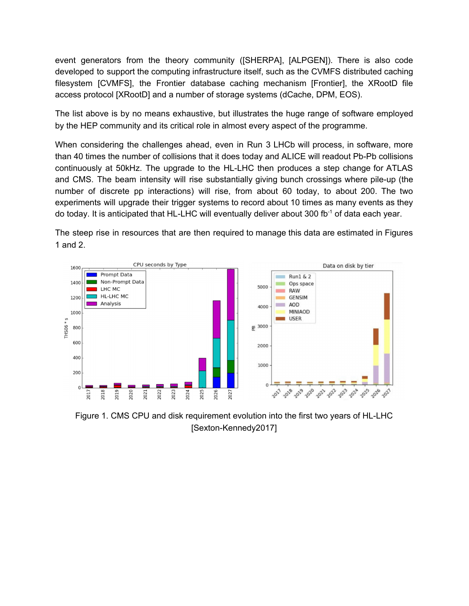event generators from the theory community ([SHERPA], [ALPGEN]). There is also code developed to support the computing infrastructure itself, such as the CVMFS distributed caching filesystem [CVMFS], the Frontier database caching mechanism [Frontier], the XRootD file access protocol [XRootD] and a number of storage systems (dCache, DPM, EOS).

The list above is by no means exhaustive, but illustrates the huge range of software employed by the HEP community and its critical role in almost every aspect of the programme.

When considering the challenges ahead, even in Run 3 LHCb will process, in software, more than 40 times the number of collisions that it does today and ALICE will readout Pb-Pb collisions continuously at 50kHz. The upgrade to the HL-LHC then produces a step change for ATLAS and CMS. The beam intensity will rise substantially giving bunch crossings where pile-up (the number of discrete pp interactions) will rise, from about 60 today, to about 200. The two experiments will upgrade their trigger systems to record about 10 times as many events as they do today. It is anticipated that HL-LHC will eventually deliver about 300 fb<sup>-1</sup> of data each year.

The steep rise in resources that are then required to manage this data are estimated in Figures 1 and 2.



Figure 1. CMS CPU and disk requirement evolution into the first two years of HL-LHC [Sexton-Kennedy2017]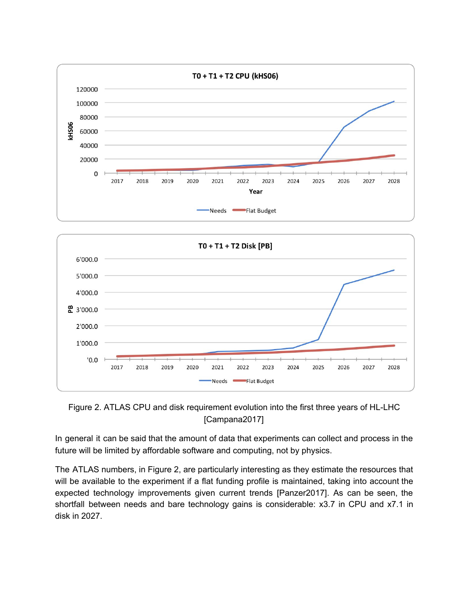



Figure 2. ATLAS CPU and disk requirement evolution into the first three years of HL-LHC [Campana2017]

In general it can be said that the amount of data that experiments can collect and process in the future will be limited by affordable software and computing, not by physics.

The ATLAS numbers, in Figure 2, are particularly interesting as they estimate the resources that will be available to the experiment if a flat funding profile is maintained, taking into account the expected technology improvements given current trends [Panzer2017]. As can be seen, the shortfall between needs and bare technology gains is considerable: x3.7 in CPU and x7.1 in disk in 2027.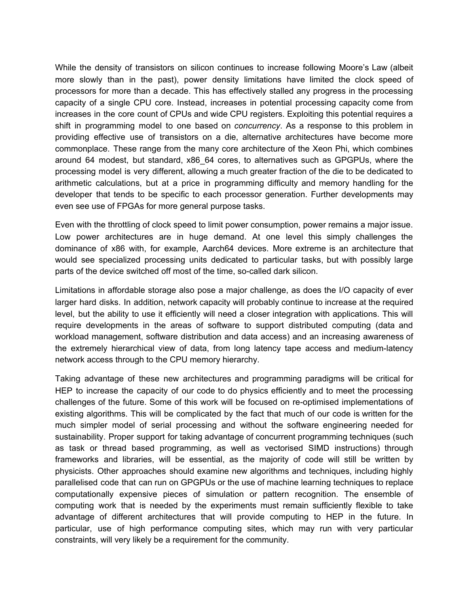While the density of transistors on silicon continues to increase following Moore's Law (albeit more slowly than in the past), power density limitations have limited the clock speed of processors for more than a decade. This has effectively stalled any progress in the processing capacity of a single CPU core. Instead, increases in potential processing capacity come from increases in the core count of CPUs and wide CPU registers. Exploiting this potential requires a shift in programming model to one based on *concurrency*. As a response to this problem in providing effective use of transistors on a die, alternative architectures have become more commonplace. These range from the many core architecture of the Xeon Phi, which combines around 64 modest, but standard, x86\_64 cores, to alternatives such as GPGPUs, where the processing model is very different, allowing a much greater fraction of the die to be dedicated to arithmetic calculations, but at a price in programming difficulty and memory handling for the developer that tends to be specific to each processor generation. Further developments may even see use of FPGAs for more general purpose tasks.

Even with the throttling of clock speed to limit power consumption, power remains a major issue. Low power architectures are in huge demand. At one level this simply challenges the dominance of x86 with, for example, Aarch64 devices. More extreme is an architecture that would see specialized processing units dedicated to particular tasks, but with possibly large parts of the device switched off most of the time, so-called dark silicon.

Limitations in affordable storage also pose a major challenge, as does the I/O capacity of ever larger hard disks. In addition, network capacity will probably continue to increase at the required level, but the ability to use it efficiently will need a closer integration with applications. This will require developments in the areas of software to support distributed computing (data and workload management, software distribution and data access) and an increasing awareness of the extremely hierarchical view of data, from long latency tape access and medium-latency network access through to the CPU memory hierarchy.

Taking advantage of these new architectures and programming paradigms will be critical for HEP to increase the capacity of our code to do physics efficiently and to meet the processing challenges of the future. Some of this work will be focused on re-optimised implementations of existing algorithms. This will be complicated by the fact that much of our code is written for the much simpler model of serial processing and without the software engineering needed for sustainability. Proper support for taking advantage of concurrent programming techniques (such as task or thread based programming, as well as vectorised SIMD instructions) through frameworks and libraries, will be essential, as the majority of code will still be written by physicists. Other approaches should examine new algorithms and techniques, including highly parallelised code that can run on GPGPUs or the use of machine learning techniques to replace computationally expensive pieces of simulation or pattern recognition. The ensemble of computing work that is needed by the experiments must remain sufficiently flexible to take advantage of different architectures that will provide computing to HEP in the future. In particular, use of high performance computing sites, which may run with very particular constraints, will very likely be a requirement for the community.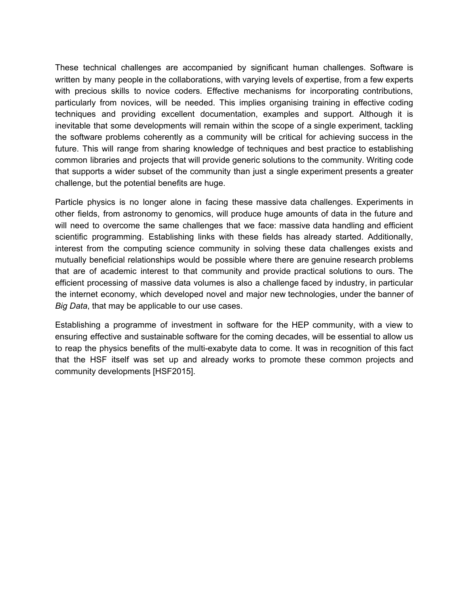These technical challenges are accompanied by significant human challenges. Software is written by many people in the collaborations, with varying levels of expertise, from a few experts with precious skills to novice coders. Effective mechanisms for incorporating contributions, particularly from novices, will be needed. This implies organising training in effective coding techniques and providing excellent documentation, examples and support. Although it is inevitable that some developments will remain within the scope of a single experiment, tackling the software problems coherently as a community will be critical for achieving success in the future. This will range from sharing knowledge of techniques and best practice to establishing common libraries and projects that will provide generic solutions to the community. Writing code that supports a wider subset of the community than just a single experiment presents a greater challenge, but the potential benefits are huge.

Particle physics is no longer alone in facing these massive data challenges. Experiments in other fields, from astronomy to genomics, will produce huge amounts of data in the future and will need to overcome the same challenges that we face: massive data handling and efficient scientific programming. Establishing links with these fields has already started. Additionally, interest from the computing science community in solving these data challenges exists and mutually beneficial relationships would be possible where there are genuine research problems that are of academic interest to that community and provide practical solutions to ours. The efficient processing of massive data volumes is also a challenge faced by industry, in particular the internet economy, which developed novel and major new technologies, under the banner of *Big Data*, that may be applicable to our use cases.

Establishing a programme of investment in software for the HEP community, with a view to ensuring effective and sustainable software for the coming decades, will be essential to allow us to reap the physics benefits of the multi-exabyte data to come. It was in recognition of this fact that the HSF itself was set up and already works to promote these common projects and community developments [HSF2015].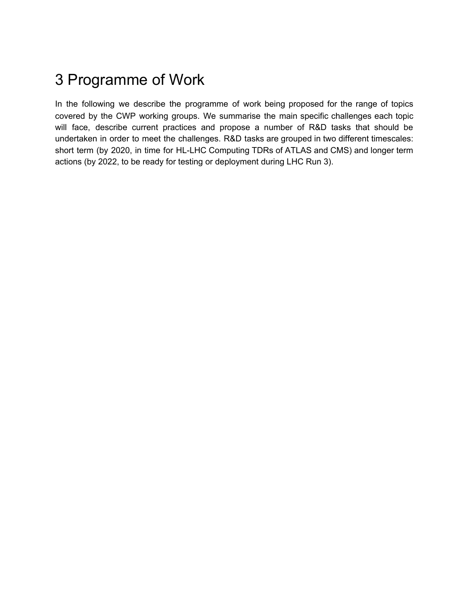# <span id="page-9-0"></span>3 Programme of Work

In the following we describe the programme of work being proposed for the range of topics covered by the CWP working groups. We summarise the main specific challenges each topic will face, describe current practices and propose a number of R&D tasks that should be undertaken in order to meet the challenges. R&D tasks are grouped in two different timescales: short term (by 2020, in time for HL-LHC Computing TDRs of ATLAS and CMS) and longer term actions (by 2022, to be ready for testing or deployment during LHC Run 3).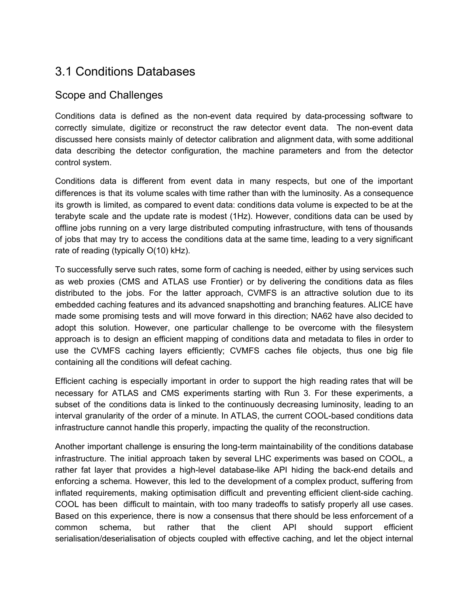# <span id="page-10-0"></span>3.1 Conditions Databases

#### Scope and Challenges

Conditions data is defined as the non-event data required by data-processing software to correctly simulate, digitize or reconstruct the raw detector event data. The non-event data discussed here consists mainly of detector calibration and alignment data, with some additional data describing the detector configuration, the machine parameters and from the detector control system.

Conditions data is different from event data in many respects, but one of the important differences is that its volume scales with time rather than with the luminosity. As a consequence its growth is limited, as compared to event data: conditions data volume is expected to be at the terabyte scale and the update rate is modest (1Hz). However, conditions data can be used by offline jobs running on a very large distributed computing infrastructure, with tens of thousands of jobs that may try to access the conditions data at the same time, leading to a very significant rate of reading (typically O(10) kHz).

To successfully serve such rates, some form of caching is needed, either by using services such as web proxies (CMS and ATLAS use Frontier) or by delivering the conditions data as files distributed to the jobs. For the latter approach, CVMFS is an attractive solution due to its embedded caching features and its advanced snapshotting and branching features. ALICE have made some promising tests and will move forward in this direction; NA62 have also decided to adopt this solution. However, one particular challenge to be overcome with the filesystem approach is to design an efficient mapping of conditions data and metadata to files in order to use the CVMFS caching layers efficiently; CVMFS caches file objects, thus one big file containing all the conditions will defeat caching.

Efficient caching is especially important in order to support the high reading rates that will be necessary for ATLAS and CMS experiments starting with Run 3. For these experiments, a subset of the conditions data is linked to the continuously decreasing luminosity, leading to an interval granularity of the order of a minute. In ATLAS, the current COOL-based conditions data infrastructure cannot handle this properly, impacting the quality of the reconstruction.

Another important challenge is ensuring the long-term maintainability of the conditions database infrastructure. The initial approach taken by several LHC experiments was based on COOL, a rather fat layer that provides a high-level database-like API hiding the back-end details and enforcing a schema. However, this led to the development of a complex product, suffering from inflated requirements, making optimisation difficult and preventing efficient client-side caching. COOL has been difficult to maintain, with too many tradeoffs to satisfy properly all use cases. Based on this experience, there is now a consensus that there should be less enforcement of a common schema, but rather that the client API should support efficient serialisation/deserialisation of objects coupled with effective caching, and let the object internal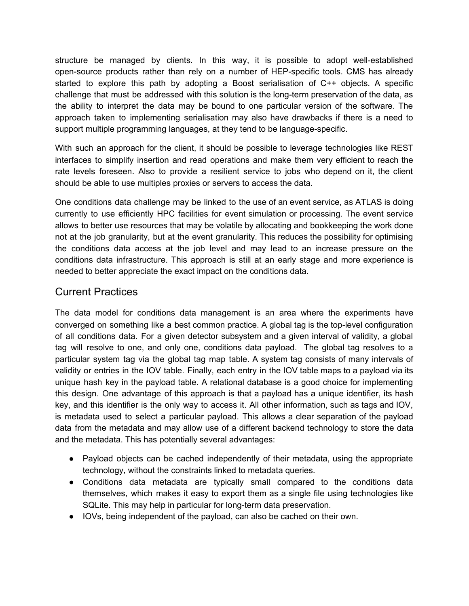structure be managed by clients. In this way, it is possible to adopt well-established open-source products rather than rely on a number of HEP-specific tools. CMS has already started to explore this path by adopting a Boost serialisation of C++ objects. A specific challenge that must be addressed with this solution is the long-term preservation of the data, as the ability to interpret the data may be bound to one particular version of the software. The approach taken to implementing serialisation may also have drawbacks if there is a need to support multiple programming languages, at they tend to be language-specific.

With such an approach for the client, it should be possible to leverage technologies like REST interfaces to simplify insertion and read operations and make them very efficient to reach the rate levels foreseen. Also to provide a resilient service to jobs who depend on it, the client should be able to use multiples proxies or servers to access the data.

One conditions data challenge may be linked to the use of an event service, as ATLAS is doing currently to use efficiently HPC facilities for event simulation or processing. The event service allows to better use resources that may be volatile by allocating and bookkeeping the work done not at the job granularity, but at the event granularity. This reduces the possibility for optimising the conditions data access at the job level and may lead to an increase pressure on the conditions data infrastructure. This approach is still at an early stage and more experience is needed to better appreciate the exact impact on the conditions data.

#### Current Practices

The data model for conditions data management is an area where the experiments have converged on something like a best common practice. A global tag is the top-level configuration of all conditions data. For a given detector subsystem and a given interval of validity, a global tag will resolve to one, and only one, conditions data payload. The global tag resolves to a particular system tag via the global tag map table. A system tag consists of many intervals of validity or entries in the IOV table. Finally, each entry in the IOV table maps to a payload via its unique hash key in the payload table. A relational database is a good choice for implementing this design. One advantage of this approach is that a payload has a unique identifier, its hash key, and this identifier is the only way to access it. All other information, such as tags and IOV, is metadata used to select a particular payload. This allows a clear separation of the payload data from the metadata and may allow use of a different backend technology to store the data and the metadata. This has potentially several advantages:

- Payload objects can be cached independently of their metadata, using the appropriate technology, without the constraints linked to metadata queries.
- Conditions data metadata are typically small compared to the conditions data themselves, which makes it easy to export them as a single file using technologies like SQLite. This may help in particular for long-term data preservation.
- IOVs, being independent of the payload, can also be cached on their own.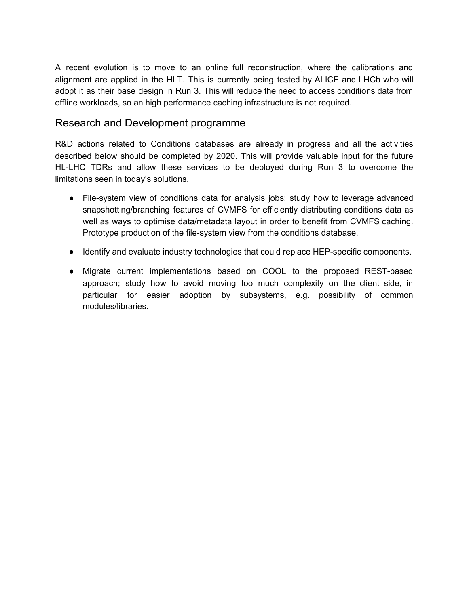A recent evolution is to move to an online full reconstruction, where the calibrations and alignment are applied in the HLT. This is currently being tested by ALICE and LHCb who will adopt it as their base design in Run 3. This will reduce the need to access conditions data from offline workloads, so an high performance caching infrastructure is not required.

#### Research and Development programme

R&D actions related to Conditions databases are already in progress and all the activities described below should be completed by 2020. This will provide valuable input for the future HL-LHC TDRs and allow these services to be deployed during Run 3 to overcome the limitations seen in today's solutions.

- File-system view of conditions data for analysis jobs: study how to leverage advanced snapshotting/branching features of CVMFS for efficiently distributing conditions data as well as ways to optimise data/metadata layout in order to benefit from CVMFS caching. Prototype production of the file-system view from the conditions database.
- Identify and evaluate industry technologies that could replace HEP-specific components.
- Migrate current implementations based on COOL to the proposed REST-based approach; study how to avoid moving too much complexity on the client side, in particular for easier adoption by subsystems, e.g. possibility of common modules/libraries.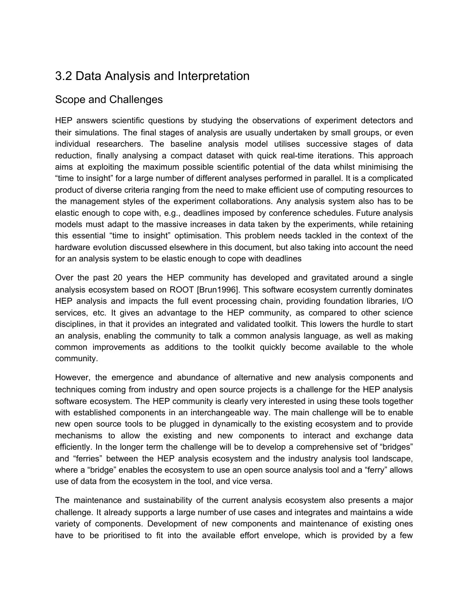# <span id="page-13-0"></span>3.2 Data Analysis and Interpretation

## Scope and Challenges

HEP answers scientific questions by studying the observations of experiment detectors and their simulations. The final stages of analysis are usually undertaken by small groups, or even individual researchers. The baseline analysis model utilises successive stages of data reduction, finally analysing a compact dataset with quick real-time iterations. This approach aims at exploiting the maximum possible scientific potential of the data whilst minimising the "time to insight" for a large number of different analyses performed in parallel. It is a complicated product of diverse criteria ranging from the need to make efficient use of computing resources to the management styles of the experiment collaborations. Any analysis system also has to be elastic enough to cope with, e.g., deadlines imposed by conference schedules. Future analysis models must adapt to the massive increases in data taken by the experiments, while retaining this essential "time to insight" optimisation. This problem needs tackled in the context of the hardware evolution discussed elsewhere in this document, but also taking into account the need for an analysis system to be elastic enough to cope with deadlines

Over the past 20 years the HEP community has developed and gravitated around a single analysis ecosystem based on ROOT [Brun1996]. This software ecosystem currently dominates HEP analysis and impacts the full event processing chain, providing foundation libraries, I/O services, etc. It gives an advantage to the HEP community, as compared to other science disciplines, in that it provides an integrated and validated toolkit. This lowers the hurdle to start an analysis, enabling the community to talk a common analysis language, as well as making common improvements as additions to the toolkit quickly become available to the whole community.

However, the emergence and abundance of alternative and new analysis components and techniques coming from industry and open source projects is a challenge for the HEP analysis software ecosystem. The HEP community is clearly very interested in using these tools together with established components in an interchangeable way. The main challenge will be to enable new open source tools to be plugged in dynamically to the existing ecosystem and to provide mechanisms to allow the existing and new components to interact and exchange data efficiently. In the longer term the challenge will be to develop a comprehensive set of "bridges" and "ferries" between the HEP analysis ecosystem and the industry analysis tool landscape, where a "bridge" enables the ecosystem to use an open source analysis tool and a "ferry" allows use of data from the ecosystem in the tool, and vice versa.

The maintenance and sustainability of the current analysis ecosystem also presents a major challenge. It already supports a large number of use cases and integrates and maintains a wide variety of components. Development of new components and maintenance of existing ones have to be prioritised to fit into the available effort envelope, which is provided by a few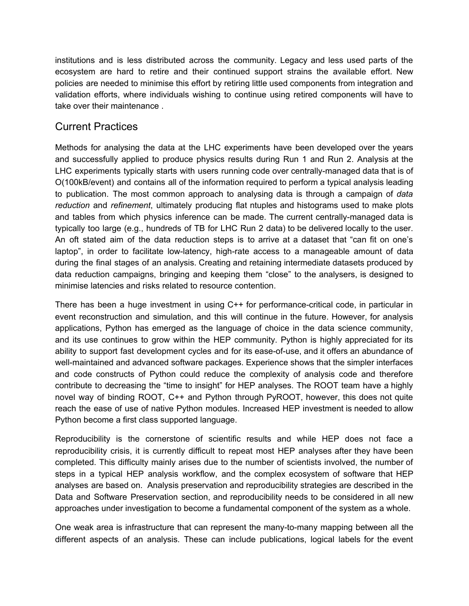institutions and is less distributed across the community. Legacy and less used parts of the ecosystem are hard to retire and their continued support strains the available effort. New policies are needed to minimise this effort by retiring little used components from integration and validation efforts, where individuals wishing to continue using retired components will have to take over their maintenance .

## Current Practices

Methods for analysing the data at the LHC experiments have been developed over the years and successfully applied to produce physics results during Run 1 and Run 2. Analysis at the LHC experiments typically starts with users running code over centrally-managed data that is of O(100kB/event) and contains all of the information required to perform a typical analysis leading to publication. The most common approach to analysing data is through a campaign of *data reduction* and *refinement*, ultimately producing flat ntuples and histograms used to make plots and tables from which physics inference can be made. The current centrally-managed data is typically too large (e.g., hundreds of TB for LHC Run 2 data) to be delivered locally to the user. An oft stated aim of the data reduction steps is to arrive at a dataset that "can fit on one's laptop", in order to facilitate low-latency, high-rate access to a manageable amount of data during the final stages of an analysis. Creating and retaining intermediate datasets produced by data reduction campaigns, bringing and keeping them "close" to the analysers, is designed to minimise latencies and risks related to resource contention.

There has been a huge investment in using C++ for performance-critical code, in particular in event reconstruction and simulation, and this will continue in the future. However, for analysis applications, Python has emerged as the language of choice in the data science community, and its use continues to grow within the HEP community. Python is highly appreciated for its ability to support fast development cycles and for its ease-of-use, and it offers an abundance of well-maintained and advanced software packages. Experience shows that the simpler interfaces and code constructs of Python could reduce the complexity of analysis code and therefore contribute to decreasing the "time to insight" for HEP analyses. The ROOT team have a highly novel way of binding ROOT, C++ and Python through PyROOT, however, this does not quite reach the ease of use of native Python modules. Increased HEP investment is needed to allow Python become a first class supported language.

Reproducibility is the cornerstone of scientific results and while HEP does not face a reproducibility crisis, it is currently difficult to repeat most HEP analyses after they have been completed. This difficulty mainly arises due to the number of scientists involved, the number of steps in a typical HEP analysis workflow, and the complex ecosystem of software that HEP analyses are based on. Analysis preservation and reproducibility strategies are described in the Data and Software Preservation section, and reproducibility needs to be considered in all new approaches under investigation to become a fundamental component of the system as a whole.

One weak area is infrastructure that can represent the many-to-many mapping between all the different aspects of an analysis. These can include publications, logical labels for the event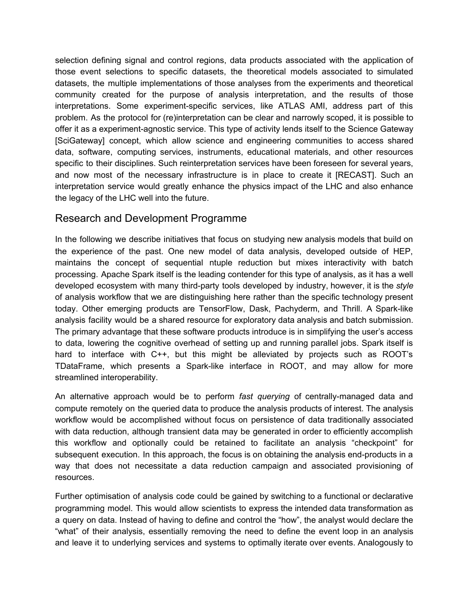selection defining signal and control regions, data products associated with the application of those event selections to specific datasets, the theoretical models associated to simulated datasets, the multiple implementations of those analyses from the experiments and theoretical community created for the purpose of analysis interpretation, and the results of those interpretations. Some experiment-specific services, like ATLAS AMI, address part of this problem. As the protocol for (re)interpretation can be clear and narrowly scoped, it is possible to offer it as a experiment-agnostic service. This type of activity lends itself to the Science Gateway [SciGateway] concept, which allow science and engineering communities to access shared data, software, computing services, instruments, educational materials, and other resources specific to their disciplines. Such reinterpretation services have been foreseen for several years, and now most of the necessary infrastructure is in place to create it [RECAST]. Such an interpretation service would greatly enhance the physics impact of the LHC and also enhance the legacy of the LHC well into the future.

### Research and Development Programme

In the following we describe initiatives that focus on studying new analysis models that build on the experience of the past. One new model of data analysis, developed outside of HEP, maintains the concept of sequential ntuple reduction but mixes interactivity with batch processing. Apache Spark itself is the leading contender for this type of analysis, as it has a well developed ecosystem with many third-party tools developed by industry, however, it is the *style* of analysis workflow that we are distinguishing here rather than the specific technology present today. Other emerging products are TensorFlow, Dask, Pachyderm, and Thrill. A Spark-like analysis facility would be a shared resource for exploratory data analysis and batch submission. The primary advantage that these software products introduce is in simplifying the user's access to data, lowering the cognitive overhead of setting up and running parallel jobs. Spark itself is hard to interface with C++, but this might be alleviated by projects such as ROOT's TDataFrame, which presents a Spark-like interface in ROOT, and may allow for more streamlined interoperability.

An alternative approach would be to perform *fast querying* of centrally-managed data and compute remotely on the queried data to produce the analysis products of interest. The analysis workflow would be accomplished without focus on persistence of data traditionally associated with data reduction, although transient data may be generated in order to efficiently accomplish this workflow and optionally could be retained to facilitate an analysis "checkpoint" for subsequent execution. In this approach, the focus is on obtaining the analysis end-products in a way that does not necessitate a data reduction campaign and associated provisioning of resources.

Further optimisation of analysis code could be gained by switching to a functional or declarative programming model. This would allow scientists to express the intended data transformation as a query on data. Instead of having to define and control the "how", the analyst would declare the "what" of their analysis, essentially removing the need to define the event loop in an analysis and leave it to underlying services and systems to optimally iterate over events. Analogously to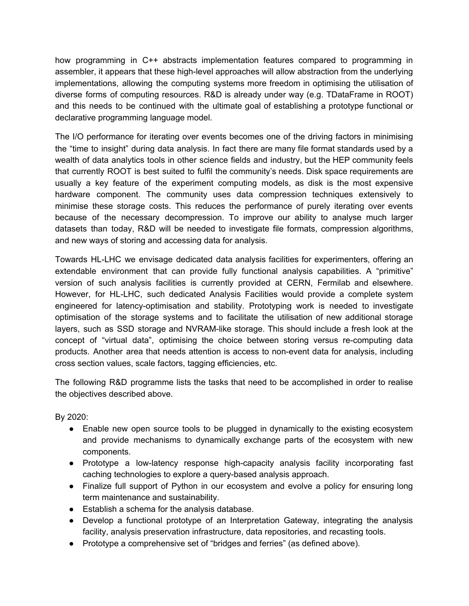how programming in C++ abstracts implementation features compared to programming in assembler, it appears that these high-level approaches will allow abstraction from the underlying implementations, allowing the computing systems more freedom in optimising the utilisation of diverse forms of computing resources. R&D is already under way (e.g. TDataFrame in ROOT) and this needs to be continued with the ultimate goal of establishing a prototype functional or declarative programming language model.

The I/O performance for iterating over events becomes one of the driving factors in minimising the "time to insight" during data analysis. In fact there are many file format standards used by a wealth of data analytics tools in other science fields and industry, but the HEP community feels that currently ROOT is best suited to fulfil the community's needs. Disk space requirements are usually a key feature of the experiment computing models, as disk is the most expensive hardware component. The community uses data compression techniques extensively to minimise these storage costs. This reduces the performance of purely iterating over events because of the necessary decompression. To improve our ability to analyse much larger datasets than today, R&D will be needed to investigate file formats, compression algorithms, and new ways of storing and accessing data for analysis.

Towards HL-LHC we envisage dedicated data analysis facilities for experimenters, offering an extendable environment that can provide fully functional analysis capabilities. A "primitive" version of such analysis facilities is currently provided at CERN, Fermilab and elsewhere. However, for HL-LHC, such dedicated Analysis Facilities would provide a complete system engineered for latency-optimisation and stability. Prototyping work is needed to investigate optimisation of the storage systems and to facilitate the utilisation of new additional storage layers, such as SSD storage and NVRAM-like storage. This should include a fresh look at the concept of "virtual data", optimising the choice between storing versus re-computing data products. Another area that needs attention is access to non-event data for analysis, including cross section values, scale factors, tagging efficiencies, etc.

The following R&D programme lists the tasks that need to be accomplished in order to realise the objectives described above.

By 2020:

- Enable new open source tools to be plugged in dynamically to the existing ecosystem and provide mechanisms to dynamically exchange parts of the ecosystem with new components.
- Prototype a low-latency response high-capacity analysis facility incorporating fast caching technologies to explore a query-based analysis approach.
- Finalize full support of Python in our ecosystem and evolve a policy for ensuring long term maintenance and sustainability.
- Establish a schema for the analysis database.
- Develop a functional prototype of an Interpretation Gateway, integrating the analysis facility, analysis preservation infrastructure, data repositories, and recasting tools.
- Prototype a comprehensive set of "bridges and ferries" (as defined above).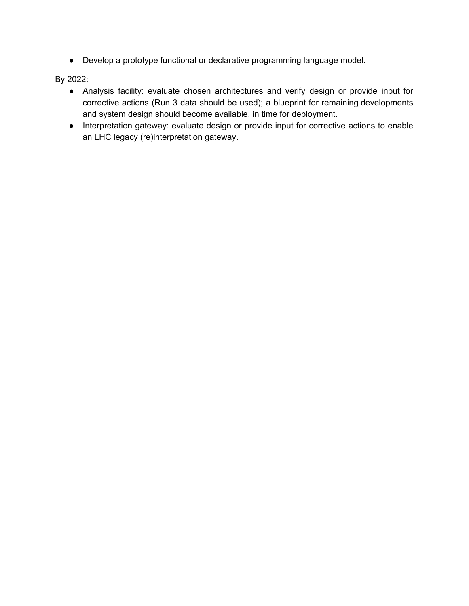● Develop a prototype functional or declarative programming language model.

By 2022:

- Analysis facility: evaluate chosen architectures and verify design or provide input for corrective actions (Run 3 data should be used); a blueprint for remaining developments and system design should become available, in time for deployment.
- <span id="page-17-0"></span>● Interpretation gateway: evaluate design or provide input for corrective actions to enable an LHC legacy (re)interpretation gateway.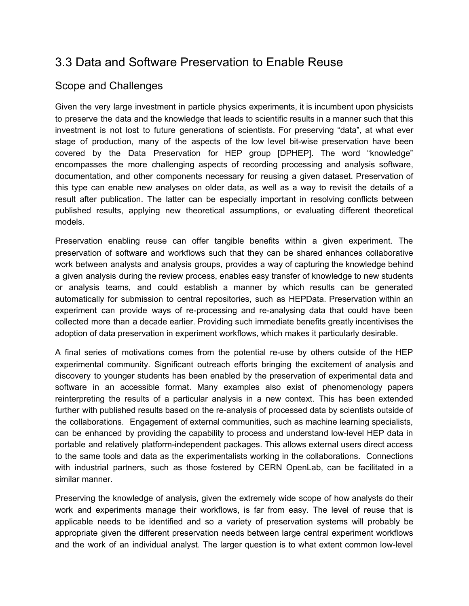# 3.3 Data and Software Preservation to Enable Reuse

## Scope and Challenges

Given the very large investment in particle physics experiments, it is incumbent upon physicists to preserve the data and the knowledge that leads to scientific results in a manner such that this investment is not lost to future generations of scientists. For preserving "data", at what ever stage of production, many of the aspects of the low level bit-wise preservation have been covered by the Data Preservation for HEP group [DPHEP]. The word "knowledge" encompasses the more challenging aspects of recording processing and analysis software, documentation, and other components necessary for reusing a given dataset. Preservation of this type can enable new analyses on older data, as well as a way to revisit the details of a result after publication. The latter can be especially important in resolving conflicts between published results, applying new theoretical assumptions, or evaluating different theoretical models.

Preservation enabling reuse can offer tangible benefits within a given experiment. The preservation of software and workflows such that they can be shared enhances collaborative work between analysts and analysis groups, provides a way of capturing the knowledge behind a given analysis during the review process, enables easy transfer of knowledge to new students or analysis teams, and could establish a manner by which results can be generated automatically for submission to central repositories, such as HEPData. Preservation within an experiment can provide ways of re-processing and re-analysing data that could have been collected more than a decade earlier. Providing such immediate benefits greatly incentivises the adoption of data preservation in experiment workflows, which makes it particularly desirable.

A final series of motivations comes from the potential re-use by others outside of the HEP experimental community. Significant outreach efforts bringing the excitement of analysis and discovery to younger students has been enabled by the preservation of experimental data and software in an accessible format. Many examples also exist of phenomenology papers reinterpreting the results of a particular analysis in a new context. This has been extended further with published results based on the re-analysis of processed data by scientists outside of the collaborations. Engagement of external communities, such as machine learning specialists, can be enhanced by providing the capability to process and understand low-level HEP data in portable and relatively platform-independent packages. This allows external users direct access to the same tools and data as the experimentalists working in the collaborations. Connections with industrial partners, such as those fostered by CERN OpenLab, can be facilitated in a similar manner.

Preserving the knowledge of analysis, given the extremely wide scope of how analysts do their work and experiments manage their workflows, is far from easy. The level of reuse that is applicable needs to be identified and so a variety of preservation systems will probably be appropriate given the different preservation needs between large central experiment workflows and the work of an individual analyst. The larger question is to what extent common low-level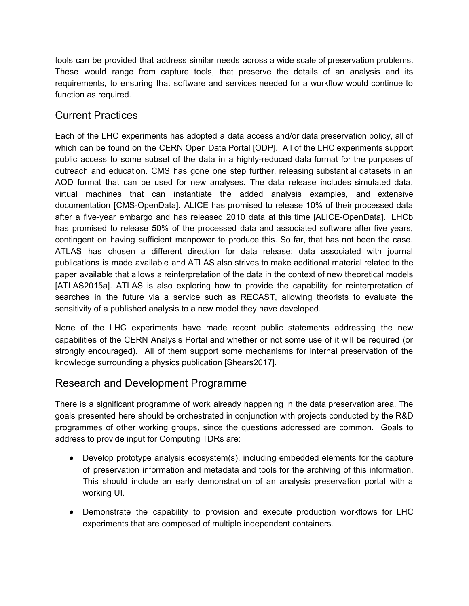tools can be provided that address similar needs across a wide scale of preservation problems. These would range from capture tools, that preserve the details of an analysis and its requirements, to ensuring that software and services needed for a workflow would continue to function as required.

### Current Practices

Each of the LHC experiments has adopted a data access and/or data preservation policy, all of which can be found on the CERN Open Data Portal [ODP]. All of the LHC experiments support public access to some subset of the data in a highly-reduced data format for the purposes of outreach and education. CMS has gone one step further, releasing substantial datasets in an AOD format that can be used for new analyses. The data release includes simulated data, virtual machines that can instantiate the added analysis examples, and extensive documentation [CMS-OpenData]. ALICE has promised to release 10% of their processed data after a five-year embargo and has released 2010 data at this time [ALICE-OpenData]. LHCb has promised to release 50% of the processed data and associated software after five years, contingent on having sufficient manpower to produce this. So far, that has not been the case. ATLAS has chosen a different direction for data release: data associated with journal publications is made available and ATLAS also strives to make additional material related to the paper available that allows a reinterpretation of the data in the context of new theoretical models [ATLAS2015a]. ATLAS is also exploring how to provide the capability for reinterpretation of searches in the future via a service such as RECAST, allowing theorists to evaluate the sensitivity of a published analysis to a new model they have developed.

None of the LHC experiments have made recent public statements addressing the new capabilities of the CERN Analysis Portal and whether or not some use of it will be required (or strongly encouraged). All of them support some mechanisms for internal preservation of the knowledge surrounding a physics publication [Shears2017].

#### Research and Development Programme

There is a significant programme of work already happening in the data preservation area. The goals presented here should be orchestrated in conjunction with projects conducted by the R&D programmes of other working groups, since the questions addressed are common. Goals to address to provide input for Computing TDRs are:

- Develop prototype analysis ecosystem(s), including embedded elements for the capture of preservation information and metadata and tools for the archiving of this information. This should include an early demonstration of an analysis preservation portal with a working UI.
- Demonstrate the capability to provision and execute production workflows for LHC experiments that are composed of multiple independent containers.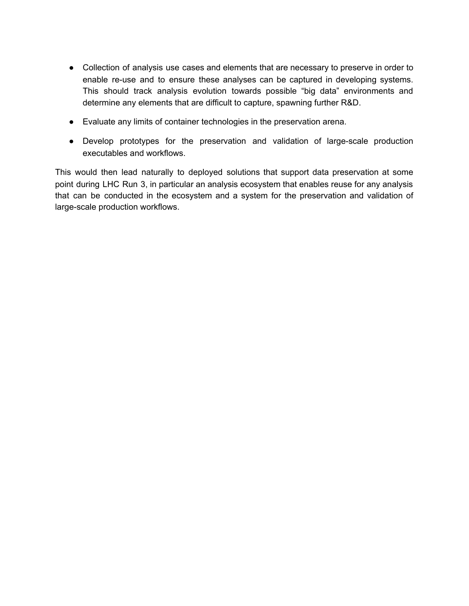- Collection of analysis use cases and elements that are necessary to preserve in order to enable re-use and to ensure these analyses can be captured in developing systems. This should track analysis evolution towards possible "big data" environments and determine any elements that are difficult to capture, spawning further R&D.
- Evaluate any limits of container technologies in the preservation arena.
- Develop prototypes for the preservation and validation of large-scale production executables and workflows.

<span id="page-20-0"></span>This would then lead naturally to deployed solutions that support data preservation at some point during LHC Run 3, in particular an analysis ecosystem that enables reuse for any analysis that can be conducted in the ecosystem and a system for the preservation and validation of large-scale production workflows.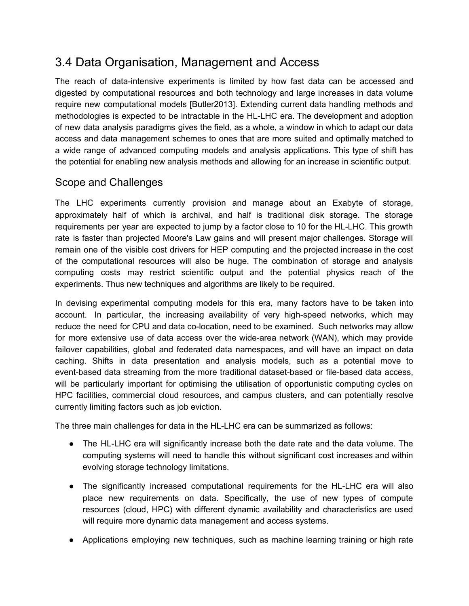# 3.4 Data Organisation, Management and Access

The reach of data-intensive experiments is limited by how fast data can be accessed and digested by computational resources and both technology and large increases in data volume require new computational models [Butler2013]. Extending current data handling methods and methodologies is expected to be intractable in the HL-LHC era. The development and adoption of new data analysis paradigms gives the field, as a whole, a window in which to adapt our data access and data management schemes to ones that are more suited and optimally matched to a wide range of advanced computing models and analysis applications. This type of shift has the potential for enabling new analysis methods and allowing for an increase in scientific output.

### Scope and Challenges

The LHC experiments currently provision and manage about an Exabyte of storage, approximately half of which is archival, and half is traditional disk storage. The storage requirements per year are expected to jump by a factor close to 10 for the HL-LHC. This growth rate is faster than projected Moore's Law gains and will present major challenges. Storage will remain one of the visible cost drivers for HEP computing and the projected increase in the cost of the computational resources will also be huge. The combination of storage and analysis computing costs may restrict scientific output and the potential physics reach of the experiments. Thus new techniques and algorithms are likely to be required.

In devising experimental computing models for this era, many factors have to be taken into account. In particular, the increasing availability of very high-speed networks, which may reduce the need for CPU and data co-location, need to be examined. Such networks may allow for more extensive use of data access over the wide-area network (WAN), which may provide failover capabilities, global and federated data namespaces, and will have an impact on data caching. Shifts in data presentation and analysis models, such as a potential move to event-based data streaming from the more traditional dataset-based or file-based data access, will be particularly important for optimising the utilisation of opportunistic computing cycles on HPC facilities, commercial cloud resources, and campus clusters, and can potentially resolve currently limiting factors such as job eviction.

The three main challenges for data in the HL-LHC era can be summarized as follows:

- The HL-LHC era will significantly increase both the date rate and the data volume. The computing systems will need to handle this without significant cost increases and within evolving storage technology limitations.
- The significantly increased computational requirements for the HL-LHC era will also place new requirements on data. Specifically, the use of new types of compute resources (cloud, HPC) with different dynamic availability and characteristics are used will require more dynamic data management and access systems.
- Applications employing new techniques, such as machine learning training or high rate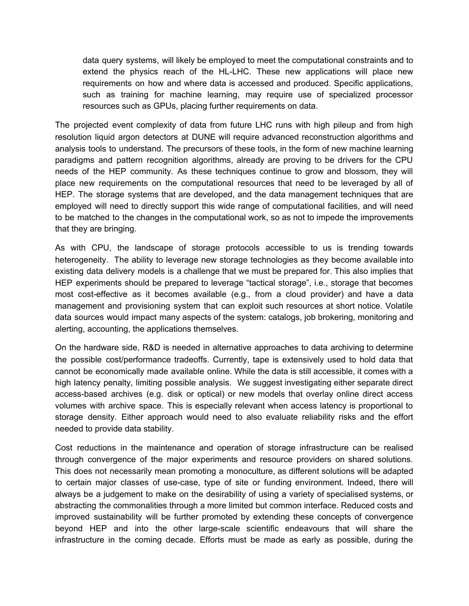data query systems, will likely be employed to meet the computational constraints and to extend the physics reach of the HL-LHC. These new applications will place new requirements on how and where data is accessed and produced. Specific applications, such as training for machine learning, may require use of specialized processor resources such as GPUs, placing further requirements on data.

The projected event complexity of data from future LHC runs with high pileup and from high resolution liquid argon detectors at DUNE will require advanced reconstruction algorithms and analysis tools to understand. The precursors of these tools, in the form of new machine learning paradigms and pattern recognition algorithms, already are proving to be drivers for the CPU needs of the HEP community. As these techniques continue to grow and blossom, they will place new requirements on the computational resources that need to be leveraged by all of HEP. The storage systems that are developed, and the data management techniques that are employed will need to directly support this wide range of computational facilities, and will need to be matched to the changes in the computational work, so as not to impede the improvements that they are bringing.

As with CPU, the landscape of storage protocols accessible to us is trending towards heterogeneity. The ability to leverage new storage technologies as they become available into existing data delivery models is a challenge that we must be prepared for. This also implies that HEP experiments should be prepared to leverage "tactical storage", i.e., storage that becomes most cost-effective as it becomes available (e.g., from a cloud provider) and have a data management and provisioning system that can exploit such resources at short notice. Volatile data sources would impact many aspects of the system: catalogs, job brokering, monitoring and alerting, accounting, the applications themselves.

On the hardware side, R&D is needed in alternative approaches to data archiving to determine the possible cost/performance tradeoffs. Currently, tape is extensively used to hold data that cannot be economically made available online. While the data is still accessible, it comes with a high latency penalty, limiting possible analysis. We suggest investigating either separate direct access-based archives (e.g. disk or optical) or new models that overlay online direct access volumes with archive space. This is especially relevant when access latency is proportional to storage density. Either approach would need to also evaluate reliability risks and the effort needed to provide data stability.

Cost reductions in the maintenance and operation of storage infrastructure can be realised through convergence of the major experiments and resource providers on shared solutions. This does not necessarily mean promoting a monoculture, as different solutions will be adapted to certain major classes of use-case, type of site or funding environment. Indeed, there will always be a judgement to make on the desirability of using a variety of specialised systems, or abstracting the commonalities through a more limited but common interface. Reduced costs and improved sustainability will be further promoted by extending these concepts of convergence beyond HEP and into the other large-scale scientific endeavours that will share the infrastructure in the coming decade. Efforts must be made as early as possible, during the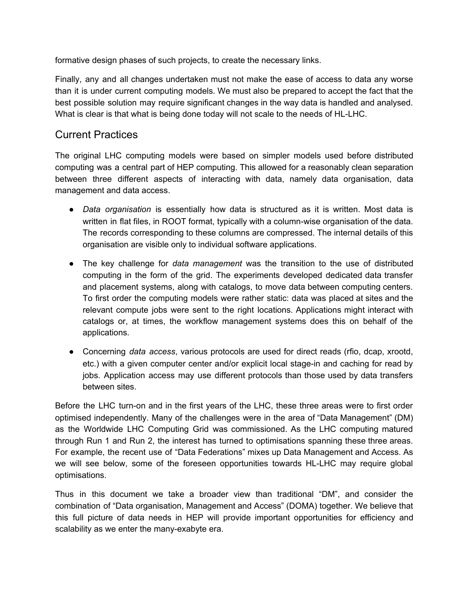formative design phases of such projects, to create the necessary links.

Finally, any and all changes undertaken must not make the ease of access to data any worse than it is under current computing models. We must also be prepared to accept the fact that the best possible solution may require significant changes in the way data is handled and analysed. What is clear is that what is being done today will not scale to the needs of HL-LHC.

#### Current Practices

The original LHC computing models were based on simpler models used before distributed computing was a central part of HEP computing. This allowed for a reasonably clean separation between three different aspects of interacting with data, namely data organisation, data management and data access.

- *Data organisation* is essentially how data is structured as it is written. Most data is written in flat files, in ROOT format, typically with a column-wise organisation of the data. The records corresponding to these columns are compressed. The internal details of this organisation are visible only to individual software applications.
- The key challenge for *data management* was the transition to the use of distributed computing in the form of the grid. The experiments developed dedicated data transfer and placement systems, along with catalogs, to move data between computing centers. To first order the computing models were rather static: data was placed at sites and the relevant compute jobs were sent to the right locations. Applications might interact with catalogs or, at times, the workflow management systems does this on behalf of the applications.
- Concerning *data access*, various protocols are used for direct reads (rfio, dcap, xrootd, etc.) with a given computer center and/or explicit local stage-in and caching for read by jobs. Application access may use different protocols than those used by data transfers between sites.

Before the LHC turn-on and in the first years of the LHC, these three areas were to first order optimised independently. Many of the challenges were in the area of "Data Management" (DM) as the Worldwide LHC Computing Grid was commissioned. As the LHC computing matured through Run 1 and Run 2, the interest has turned to optimisations spanning these three areas. For example, the recent use of "Data Federations" mixes up Data Management and Access. As we will see below, some of the foreseen opportunities towards HL-LHC may require global optimisations.

Thus in this document we take a broader view than traditional "DM", and consider the combination of "Data organisation, Management and Access" (DOMA) together. We believe that this full picture of data needs in HEP will provide important opportunities for efficiency and scalability as we enter the many-exabyte era.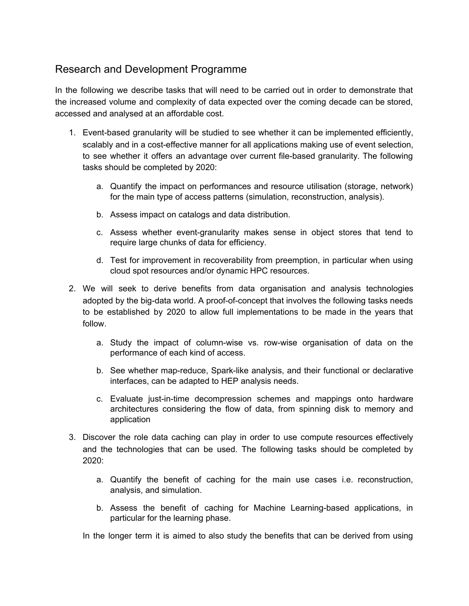## Research and Development Programme

In the following we describe tasks that will need to be carried out in order to demonstrate that the increased volume and complexity of data expected over the coming decade can be stored, accessed and analysed at an affordable cost.

- 1. Event-based granularity will be studied to see whether it can be implemented efficiently, scalably and in a cost-effective manner for all applications making use of event selection, to see whether it offers an advantage over current file-based granularity. The following tasks should be completed by 2020:
	- a. Quantify the impact on performances and resource utilisation (storage, network) for the main type of access patterns (simulation, reconstruction, analysis).
	- b. Assess impact on catalogs and data distribution.
	- c. Assess whether event-granularity makes sense in object stores that tend to require large chunks of data for efficiency.
	- d. Test for improvement in recoverability from preemption, in particular when using cloud spot resources and/or dynamic HPC resources.
- 2. We will seek to derive benefits from data organisation and analysis technologies adopted by the big-data world. A proof-of-concept that involves the following tasks needs to be established by 2020 to allow full implementations to be made in the years that follow.
	- a. Study the impact of column-wise vs. row-wise organisation of data on the performance of each kind of access.
	- b. See whether map-reduce, Spark-like analysis, and their functional or declarative interfaces, can be adapted to HEP analysis needs.
	- c. Evaluate just-in-time decompression schemes and mappings onto hardware architectures considering the flow of data, from spinning disk to memory and application
- 3. Discover the role data caching can play in order to use compute resources effectively and the technologies that can be used. The following tasks should be completed by 2020:
	- a. Quantify the benefit of caching for the main use cases i.e. reconstruction, analysis, and simulation.
	- b. Assess the benefit of caching for Machine Learning-based applications, in particular for the learning phase.

In the longer term it is aimed to also study the benefits that can be derived from using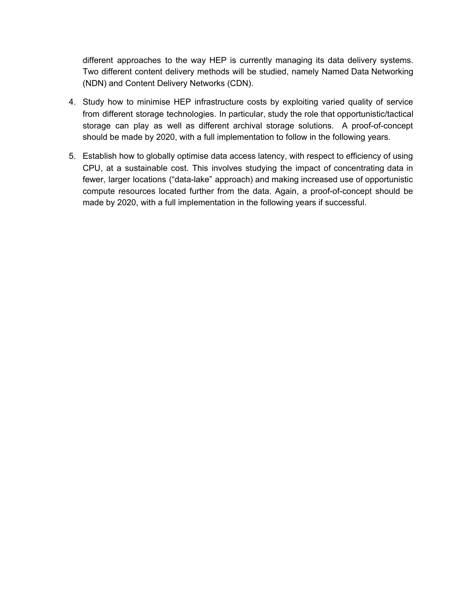different approaches to the way HEP is currently managing its data delivery systems. Two different content delivery methods will be studied, namely Named Data Networking (NDN) and Content Delivery Networks (CDN).

- 4. Study how to minimise HEP infrastructure costs by exploiting varied quality of service from different storage technologies. In particular, study the role that opportunistic/tactical storage can play as well as different archival storage solutions. A proof-of-concept should be made by 2020, with a full implementation to follow in the following years.
- <span id="page-25-0"></span>5. Establish how to globally optimise data access latency, with respect to efficiency of using CPU, at a sustainable cost. This involves studying the impact of concentrating data in fewer, larger locations ("data-lake" approach) and making increased use of opportunistic compute resources located further from the data. Again, a proof-of-concept should be made by 2020, with a full implementation in the following years if successful.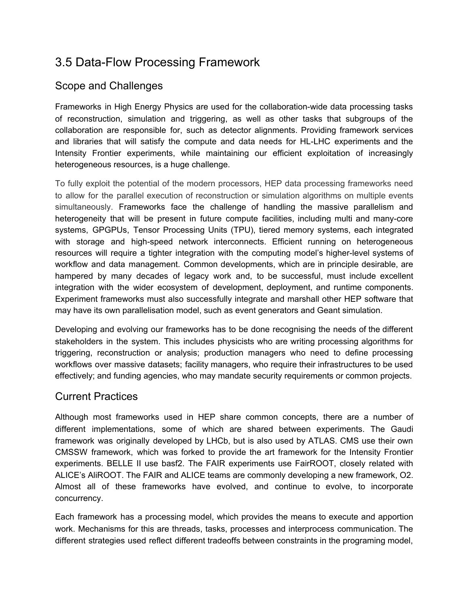# 3.5 Data-Flow Processing Framework

## Scope and Challenges

Frameworks in High Energy Physics are used for the collaboration-wide data processing tasks of reconstruction, simulation and triggering, as well as other tasks that subgroups of the collaboration are responsible for, such as detector alignments. Providing framework services and libraries that will satisfy the compute and data needs for HL-LHC experiments and the Intensity Frontier experiments, while maintaining our efficient exploitation of increasingly heterogeneous resources, is a huge challenge.

To fully exploit the potential of the modern processors, HEP data processing frameworks need to allow for the parallel execution of reconstruction or simulation algorithms on multiple events simultaneously. Frameworks face the challenge of handling the massive parallelism and heterogeneity that will be present in future compute facilities, including multi and many-core systems, GPGPUs, Tensor Processing Units (TPU), tiered memory systems, each integrated with storage and high-speed network interconnects. Efficient running on heterogeneous resources will require a tighter integration with the computing model's higher-level systems of workflow and data management. Common developments, which are in principle desirable, are hampered by many decades of legacy work and, to be successful, must include excellent integration with the wider ecosystem of development, deployment, and runtime components. Experiment frameworks must also successfully integrate and marshall other HEP software that may have its own parallelisation model, such as event generators and Geant simulation.

Developing and evolving our frameworks has to be done recognising the needs of the different stakeholders in the system. This includes physicists who are writing processing algorithms for triggering, reconstruction or analysis; production managers who need to define processing workflows over massive datasets; facility managers, who require their infrastructures to be used effectively; and funding agencies, who may mandate security requirements or common projects.

### Current Practices

Although most frameworks used in HEP share common concepts, there are a number of different implementations, some of which are shared between experiments. The Gaudi framework was originally developed by LHCb, but is also used by ATLAS. CMS use their own CMSSW framework, which was forked to provide the art framework for the Intensity Frontier experiments. BELLE II use basf2. The FAIR experiments use FairROOT, closely related with ALICE's AliROOT. The FAIR and ALICE teams are commonly developing a new framework, O2. Almost all of these frameworks have evolved, and continue to evolve, to incorporate concurrency.

Each framework has a processing model, which provides the means to execute and apportion work. Mechanisms for this are threads, tasks, processes and interprocess communication. The different strategies used reflect different tradeoffs between constraints in the programing model,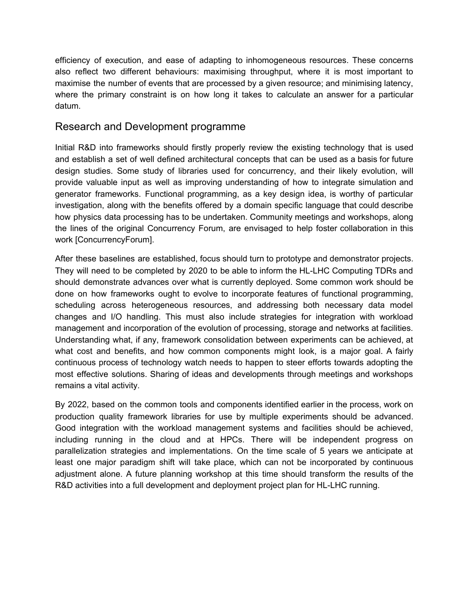efficiency of execution, and ease of adapting to inhomogeneous resources. These concerns also reflect two different behaviours: maximising throughput, where it is most important to maximise the number of events that are processed by a given resource; and minimising latency, where the primary constraint is on how long it takes to calculate an answer for a particular datum.

#### Research and Development programme

Initial R&D into frameworks should firstly properly review the existing technology that is used and establish a set of well defined architectural concepts that can be used as a basis for future design studies. Some study of libraries used for concurrency, and their likely evolution, will provide valuable input as well as improving understanding of how to integrate simulation and generator frameworks. Functional programming, as a key design idea, is worthy of particular investigation, along with the benefits offered by a domain specific language that could describe how physics data processing has to be undertaken. Community meetings and workshops, along the lines of the original Concurrency Forum, are envisaged to help foster collaboration in this work [ConcurrencyForum].

After these baselines are established, focus should turn to prototype and demonstrator projects. They will need to be completed by 2020 to be able to inform the HL-LHC Computing TDRs and should demonstrate advances over what is currently deployed. Some common work should be done on how frameworks ought to evolve to incorporate features of functional programming, scheduling across heterogeneous resources, and addressing both necessary data model changes and I/O handling. This must also include strategies for integration with workload management and incorporation of the evolution of processing, storage and networks at facilities. Understanding what, if any, framework consolidation between experiments can be achieved, at what cost and benefits, and how common components might look, is a major goal. A fairly continuous process of technology watch needs to happen to steer efforts towards adopting the most effective solutions. Sharing of ideas and developments through meetings and workshops remains a vital activity.

<span id="page-27-0"></span>By 2022, based on the common tools and components identified earlier in the process, work on production quality framework libraries for use by multiple experiments should be advanced. Good integration with the workload management systems and facilities should be achieved, including running in the cloud and at HPCs. There will be independent progress on parallelization strategies and implementations. On the time scale of 5 years we anticipate at least one major paradigm shift will take place, which can not be incorporated by continuous adjustment alone. A future planning workshop at this time should transform the results of the R&D activities into a full development and deployment project plan for HL-LHC running.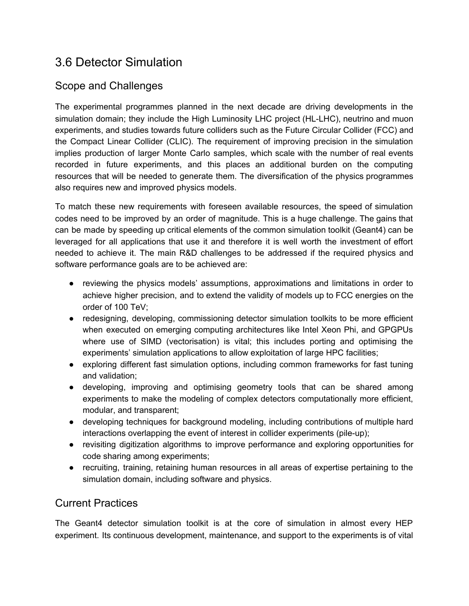# 3.6 Detector Simulation

# Scope and Challenges

The experimental programmes planned in the next decade are driving developments in the simulation domain; they include the High Luminosity LHC project (HL-LHC), neutrino and muon experiments, and studies towards future colliders such as the Future Circular Collider (FCC) and the Compact Linear Collider (CLIC). The requirement of improving precision in the simulation implies production of larger Monte Carlo samples, which scale with the number of real events recorded in future experiments, and this places an additional burden on the computing resources that will be needed to generate them. The diversification of the physics programmes also requires new and improved physics models.

To match these new requirements with foreseen available resources, the speed of simulation codes need to be improved by an order of magnitude. This is a huge challenge. The gains that can be made by speeding up critical elements of the common simulation toolkit (Geant4) can be leveraged for all applications that use it and therefore it is well worth the investment of effort needed to achieve it. The main R&D challenges to be addressed if the required physics and software performance goals are to be achieved are:

- reviewing the physics models' assumptions, approximations and limitations in order to achieve higher precision, and to extend the validity of models up to FCC energies on the order of 100 TeV;
- redesigning, developing, commissioning detector simulation toolkits to be more efficient when executed on emerging computing architectures like Intel Xeon Phi, and GPGPUs where use of SIMD (vectorisation) is vital; this includes porting and optimising the experiments' simulation applications to allow exploitation of large HPC facilities;
- exploring different fast simulation options, including common frameworks for fast tuning and validation;
- developing, improving and optimising geometry tools that can be shared among experiments to make the modeling of complex detectors computationally more efficient, modular, and transparent;
- developing techniques for background modeling, including contributions of multiple hard interactions overlapping the event of interest in collider experiments (pile-up);
- revisiting digitization algorithms to improve performance and exploring opportunities for code sharing among experiments;
- recruiting, training, retaining human resources in all areas of expertise pertaining to the simulation domain, including software and physics.

### Current Practices

The Geant4 detector simulation toolkit is at the core of simulation in almost every HEP experiment. Its continuous development, maintenance, and support to the experiments is of vital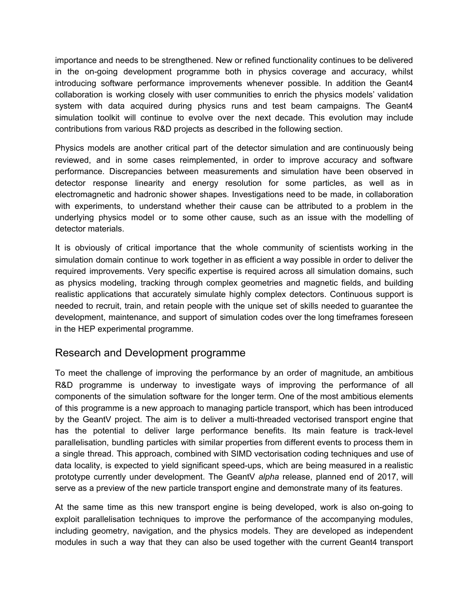importance and needs to be strengthened. New or refined functionality continues to be delivered in the on-going development programme both in physics coverage and accuracy, whilst introducing software performance improvements whenever possible. In addition the Geant4 collaboration is working closely with user communities to enrich the physics models' validation system with data acquired during physics runs and test beam campaigns. The Geant4 simulation toolkit will continue to evolve over the next decade. This evolution may include contributions from various R&D projects as described in the following section.

Physics models are another critical part of the detector simulation and are continuously being reviewed, and in some cases reimplemented, in order to improve accuracy and software performance. Discrepancies between measurements and simulation have been observed in detector response linearity and energy resolution for some particles, as well as in electromagnetic and hadronic shower shapes. Investigations need to be made, in collaboration with experiments, to understand whether their cause can be attributed to a problem in the underlying physics model or to some other cause, such as an issue with the modelling of detector materials.

It is obviously of critical importance that the whole community of scientists working in the simulation domain continue to work together in as efficient a way possible in order to deliver the required improvements. Very specific expertise is required across all simulation domains, such as physics modeling, tracking through complex geometries and magnetic fields, and building realistic applications that accurately simulate highly complex detectors. Continuous support is needed to recruit, train, and retain people with the unique set of skills needed to guarantee the development, maintenance, and support of simulation codes over the long timeframes foreseen in the HEP experimental programme.

#### Research and Development programme

To meet the challenge of improving the performance by an order of magnitude, an ambitious R&D programme is underway to investigate ways of improving the performance of all components of the simulation software for the longer term. One of the most ambitious elements of this programme is a new approach to managing particle transport, which has been introduced by the GeantV project. The aim is to deliver a multi-threaded vectorised transport engine that has the potential to deliver large performance benefits. Its main feature is track-level parallelisation, bundling particles with similar properties from different events to process them in a single thread. This approach, combined with SIMD vectorisation coding techniques and use of data locality, is expected to yield significant speed-ups, which are being measured in a realistic prototype currently under development. The GeantV *alpha* release, planned end of 2017, will serve as a preview of the new particle transport engine and demonstrate many of its features.

At the same time as this new transport engine is being developed, work is also on-going to exploit parallelisation techniques to improve the performance of the accompanying modules, including geometry, navigation, and the physics models. They are developed as independent modules in such a way that they can also be used together with the current Geant4 transport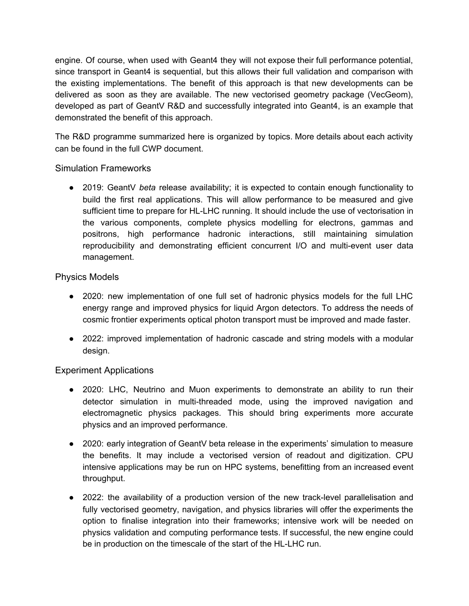engine. Of course, when used with Geant4 they will not expose their full performance potential, since transport in Geant4 is sequential, but this allows their full validation and comparison with the existing implementations. The benefit of this approach is that new developments can be delivered as soon as they are available. The new vectorised geometry package (VecGeom), developed as part of GeantV R&D and successfully integrated into Geant4, is an example that demonstrated the benefit of this approach.

The R&D programme summarized here is organized by topics. More details about each activity can be found in the full CWP document.

#### Simulation Frameworks

● 2019: GeantV *beta* release availability; it is expected to contain enough functionality to build the first real applications. This will allow performance to be measured and give sufficient time to prepare for HL-LHC running. It should include the use of vectorisation in the various components, complete physics modelling for electrons, gammas and positrons, high performance hadronic interactions, still maintaining simulation reproducibility and demonstrating efficient concurrent I/O and multi-event user data management.

#### Physics Models

- 2020: new implementation of one full set of hadronic physics models for the full LHC energy range and improved physics for liquid Argon detectors. To address the needs of cosmic frontier experiments optical photon transport must be improved and made faster.
- 2022: improved implementation of hadronic cascade and string models with a modular design.

#### Experiment Applications

- 2020: LHC, Neutrino and Muon experiments to demonstrate an ability to run their detector simulation in multi-threaded mode, using the improved navigation and electromagnetic physics packages. This should bring experiments more accurate physics and an improved performance.
- 2020: early integration of GeantV beta release in the experiments' simulation to measure the benefits. It may include a vectorised version of readout and digitization. CPU intensive applications may be run on HPC systems, benefitting from an increased event throughput.
- 2022: the availability of a production version of the new track-level parallelisation and fully vectorised geometry, navigation, and physics libraries will offer the experiments the option to finalise integration into their frameworks; intensive work will be needed on physics validation and computing performance tests. If successful, the new engine could be in production on the timescale of the start of the HL-LHC run.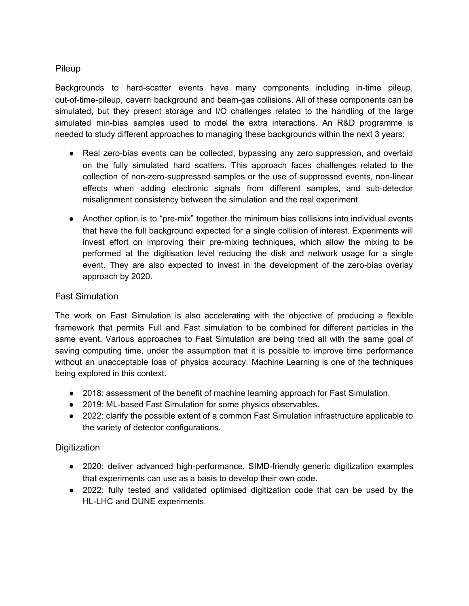#### Pileup

Backgrounds to hard-scatter events have many components including in-time pileup, out-of-time-pileup, cavern background and beam-gas collisions. All of these components can be simulated, but they present storage and I/O challenges related to the handling of the large simulated min-bias samples used to model the extra interactions. An R&D programme is needed to study different approaches to managing these backgrounds within the next 3 years:

- Real zero-bias events can be collected, bypassing any zero suppression, and overlaid on the fully simulated hard scatters. This approach faces challenges related to the collection of non-zero-suppressed samples or the use of suppressed events, non-linear effects when adding electronic signals from different samples, and sub-detector misalignment consistency between the simulation and the real experiment.
- Another option is to "pre-mix" together the minimum bias collisions into individual events that have the full background expected for a single collision of interest. Experiments will invest effort on improving their pre-mixing techniques, which allow the mixing to be performed at the digitisation level reducing the disk and network usage for a single event. They are also expected to invest in the development of the zero-bias overlay approach by 2020.

#### Fast Simulation

The work on Fast Simulation is also accelerating with the objective of producing a flexible framework that permits Full and Fast simulation to be combined for different particles in the same event. Various approaches to Fast Simulation are being tried all with the same goal of saving computing time, under the assumption that it is possible to improve time performance without an unacceptable loss of physics accuracy. Machine Learning is one of the techniques being explored in this context.

- 2018: assessment of the benefit of machine learning approach for Fast Simulation.
- 2019: ML-based Fast Simulation for some physics observables.
- 2022: clarify the possible extent of a common Fast Simulation infrastructure applicable to the variety of detector configurations.

#### **Digitization**

- 2020: deliver advanced high-performance, SIMD-friendly generic digitization examples that experiments can use as a basis to develop their own code.
- 2022: fully tested and validated optimised digitization code that can be used by the HL-LHC and DUNE experiments.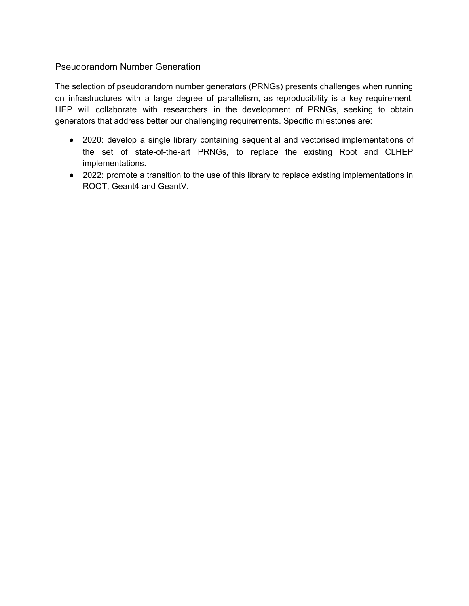#### Pseudorandom Number Generation

The selection of pseudorandom number generators (PRNGs) presents challenges when running on infrastructures with a large degree of parallelism, as reproducibility is a key requirement. HEP will collaborate with researchers in the development of PRNGs, seeking to obtain generators that address better our challenging requirements. Specific milestones are:

- 2020: develop a single library containing sequential and vectorised implementations of the set of state-of-the-art PRNGs, to replace the existing Root and CLHEP implementations.
- 2022: promote a transition to the use of this library to replace existing implementations in ROOT, Geant4 and GeantV.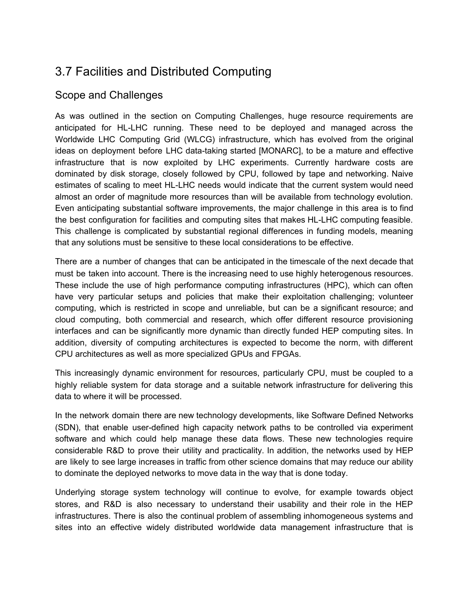# <span id="page-33-0"></span>3.7 Facilities and Distributed Computing

#### Scope and Challenges

As was outlined in the section on Computing Challenges, huge resource requirements are anticipated for HL-LHC running. These need to be deployed and managed across the Worldwide LHC Computing Grid (WLCG) infrastructure, which has evolved from the original ideas on deployment before LHC data-taking started [MONARC], to be a mature and effective infrastructure that is now exploited by LHC experiments. Currently hardware costs are dominated by disk storage, closely followed by CPU, followed by tape and networking. Naive estimates of scaling to meet HL-LHC needs would indicate that the current system would need almost an order of magnitude more resources than will be available from technology evolution. Even anticipating substantial software improvements, the major challenge in this area is to find the best configuration for facilities and computing sites that makes HL-LHC computing feasible. This challenge is complicated by substantial regional differences in funding models, meaning that any solutions must be sensitive to these local considerations to be effective.

There are a number of changes that can be anticipated in the timescale of the next decade that must be taken into account. There is the increasing need to use highly heterogenous resources. These include the use of high performance computing infrastructures (HPC), which can often have very particular setups and policies that make their exploitation challenging; volunteer computing, which is restricted in scope and unreliable, but can be a significant resource; and cloud computing, both commercial and research, which offer different resource provisioning interfaces and can be significantly more dynamic than directly funded HEP computing sites. In addition, diversity of computing architectures is expected to become the norm, with different CPU architectures as well as more specialized GPUs and FPGAs.

This increasingly dynamic environment for resources, particularly CPU, must be coupled to a highly reliable system for data storage and a suitable network infrastructure for delivering this data to where it will be processed.

In the network domain there are new technology developments, like Software Defined Networks (SDN), that enable user-defined high capacity network paths to be controlled via experiment software and which could help manage these data flows. These new technologies require considerable R&D to prove their utility and practicality. In addition, the networks used by HEP are likely to see large increases in traffic from other science domains that may reduce our ability to dominate the deployed networks to move data in the way that is done today.

Underlying storage system technology will continue to evolve, for example towards object stores, and R&D is also necessary to understand their usability and their role in the HEP infrastructures. There is also the continual problem of assembling inhomogeneous systems and sites into an effective widely distributed worldwide data management infrastructure that is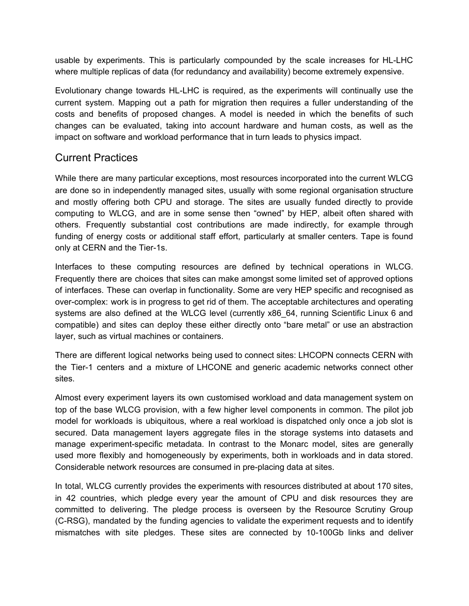usable by experiments. This is particularly compounded by the scale increases for HL-LHC where multiple replicas of data (for redundancy and availability) become extremely expensive.

Evolutionary change towards HL-LHC is required, as the experiments will continually use the current system. Mapping out a path for migration then requires a fuller understanding of the costs and benefits of proposed changes. A model is needed in which the benefits of such changes can be evaluated, taking into account hardware and human costs, as well as the impact on software and workload performance that in turn leads to physics impact.

### Current Practices

While there are many particular exceptions, most resources incorporated into the current WLCG are done so in independently managed sites, usually with some regional organisation structure and mostly offering both CPU and storage. The sites are usually funded directly to provide computing to WLCG, and are in some sense then "owned" by HEP, albeit often shared with others. Frequently substantial cost contributions are made indirectly, for example through funding of energy costs or additional staff effort, particularly at smaller centers. Tape is found only at CERN and the Tier-1s.

Interfaces to these computing resources are defined by technical operations in WLCG. Frequently there are choices that sites can make amongst some limited set of approved options of interfaces. These can overlap in functionality. Some are very HEP specific and recognised as over-complex: work is in progress to get rid of them. The acceptable architectures and operating systems are also defined at the WLCG level (currently x86 64, running Scientific Linux 6 and compatible) and sites can deploy these either directly onto "bare metal" or use an abstraction layer, such as virtual machines or containers.

There are different logical networks being used to connect sites: LHCOPN connects CERN with the Tier-1 centers and a mixture of LHCONE and generic academic networks connect other sites.

Almost every experiment layers its own customised workload and data management system on top of the base WLCG provision, with a few higher level components in common. The pilot job model for workloads is ubiquitous, where a real workload is dispatched only once a job slot is secured. Data management layers aggregate files in the storage systems into datasets and manage experiment-specific metadata. In contrast to the Monarc model, sites are generally used more flexibly and homogeneously by experiments, both in workloads and in data stored. Considerable network resources are consumed in pre-placing data at sites.

In total, WLCG currently provides the experiments with resources distributed at about 170 sites, in 42 countries, which pledge every year the amount of CPU and disk resources they are committed to delivering. The pledge process is overseen by the Resource Scrutiny Group (C-RSG), mandated by the funding agencies to validate the experiment requests and to identify mismatches with site pledges. These sites are connected by 10-100Gb links and deliver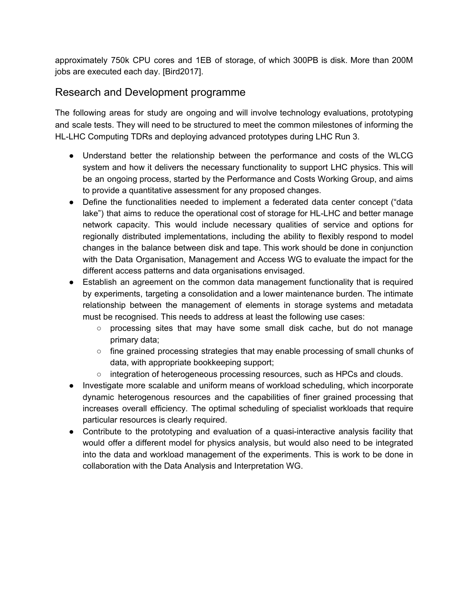approximately 750k CPU cores and 1EB of storage, of which 300PB is disk. More than 200M jobs are executed each day. [Bird2017].

## Research and Development programme

The following areas for study are ongoing and will involve technology evaluations, prototyping and scale tests. They will need to be structured to meet the common milestones of informing the HL-LHC Computing TDRs and deploying advanced prototypes during LHC Run 3.

- Understand better the relationship between the performance and costs of the WLCG system and how it delivers the necessary functionality to support LHC physics. This will be an ongoing process, started by the Performance and Costs Working Group, and aims to provide a quantitative assessment for any proposed changes.
- Define the functionalities needed to implement a federated data center concept ("data lake") that aims to reduce the operational cost of storage for HL-LHC and better manage network capacity. This would include necessary qualities of service and options for regionally distributed implementations, including the ability to flexibly respond to model changes in the balance between disk and tape. This work should be done in conjunction with the Data Organisation, Management and Access WG to evaluate the impact for the different access patterns and data organisations envisaged.
- Establish an agreement on the common data management functionality that is required by experiments, targeting a consolidation and a lower maintenance burden. The intimate relationship between the management of elements in storage systems and metadata must be recognised. This needs to address at least the following use cases:
	- processing sites that may have some small disk cache, but do not manage primary data;
	- fine grained processing strategies that may enable processing of small chunks of data, with appropriate bookkeeping support;
	- o integration of heterogeneous processing resources, such as HPCs and clouds.
- Investigate more scalable and uniform means of workload scheduling, which incorporate dynamic heterogenous resources and the capabilities of finer grained processing that increases overall efficiency. The optimal scheduling of specialist workloads that require particular resources is clearly required.
- Contribute to the prototyping and evaluation of a quasi-interactive analysis facility that would offer a different model for physics analysis, but would also need to be integrated into the data and workload management of the experiments. This is work to be done in collaboration with the Data Analysis and Interpretation WG.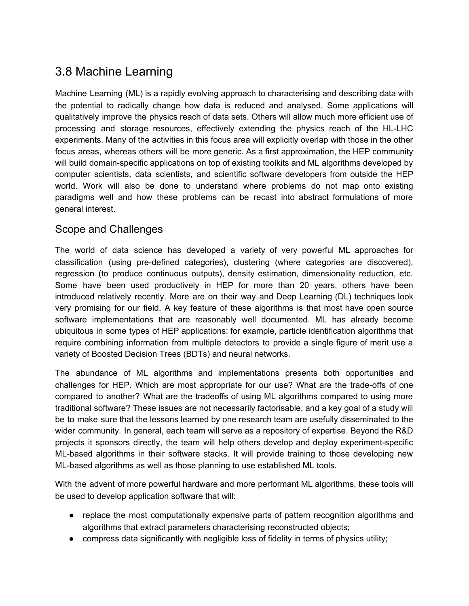# <span id="page-36-0"></span>3.8 Machine Learning

Machine Learning (ML) is a rapidly evolving approach to characterising and describing data with the potential to radically change how data is reduced and analysed. Some applications will qualitatively improve the physics reach of data sets. Others will allow much more efficient use of processing and storage resources, effectively extending the physics reach of the HL-LHC experiments. Many of the activities in this focus area will explicitly overlap with those in the other focus areas, whereas others will be more generic. As a first approximation, the HEP community will build domain-specific applications on top of existing toolkits and ML algorithms developed by computer scientists, data scientists, and scientific software developers from outside the HEP world. Work will also be done to understand where problems do not map onto existing paradigms well and how these problems can be recast into abstract formulations of more general interest.

### Scope and Challenges

The world of data science has developed a variety of very powerful ML approaches for classification (using pre-defined categories), clustering (where categories are discovered), regression (to produce continuous outputs), density estimation, dimensionality reduction, etc. Some have been used productively in HEP for more than 20 years, others have been introduced relatively recently. More are on their way and Deep Learning (DL) techniques look very promising for our field. A key feature of these algorithms is that most have open source software implementations that are reasonably well documented. ML has already become ubiquitous in some types of HEP applications: for example, particle identification algorithms that require combining information from multiple detectors to provide a single figure of merit use a variety of Boosted Decision Trees (BDTs) and neural networks.

The abundance of ML algorithms and implementations presents both opportunities and challenges for HEP. Which are most appropriate for our use? What are the trade-offs of one compared to another? What are the tradeoffs of using ML algorithms compared to using more traditional software? These issues are not necessarily factorisable, and a key goal of a study will be to make sure that the lessons learned by one research team are usefully disseminated to the wider community. In general, each team will serve as a repository of expertise. Beyond the R&D projects it sponsors directly, the team will help others develop and deploy experiment-specific ML-based algorithms in their software stacks. It will provide training to those developing new ML-based algorithms as well as those planning to use established ML tools.

With the advent of more powerful hardware and more performant ML algorithms, these tools will be used to develop application software that will:

- replace the most computationally expensive parts of pattern recognition algorithms and algorithms that extract parameters characterising reconstructed objects;
- compress data significantly with negligible loss of fidelity in terms of physics utility;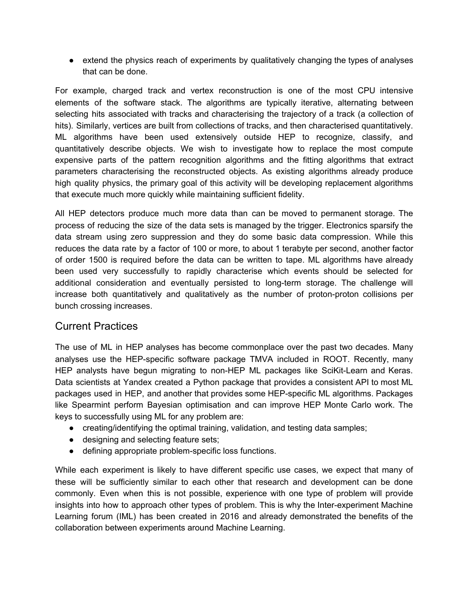● extend the physics reach of experiments by qualitatively changing the types of analyses that can be done.

For example, charged track and vertex reconstruction is one of the most CPU intensive elements of the software stack. The algorithms are typically iterative, alternating between selecting hits associated with tracks and characterising the trajectory of a track (a collection of hits). Similarly, vertices are built from collections of tracks, and then characterised quantitatively. ML algorithms have been used extensively outside HEP to recognize, classify, and quantitatively describe objects. We wish to investigate how to replace the most compute expensive parts of the pattern recognition algorithms and the fitting algorithms that extract parameters characterising the reconstructed objects. As existing algorithms already produce high quality physics, the primary goal of this activity will be developing replacement algorithms that execute much more quickly while maintaining sufficient fidelity.

All HEP detectors produce much more data than can be moved to permanent storage. The process of reducing the size of the data sets is managed by the trigger. Electronics sparsify the data stream using zero suppression and they do some basic data compression. While this reduces the data rate by a factor of 100 or more, to about 1 terabyte per second, another factor of order 1500 is required before the data can be written to tape. ML algorithms have already been used very successfully to rapidly characterise which events should be selected for additional consideration and eventually persisted to long-term storage. The challenge will increase both quantitatively and qualitatively as the number of proton-proton collisions per bunch crossing increases.

#### Current Practices

The use of ML in HEP analyses has become commonplace over the past two decades. Many analyses use the HEP-specific software package TMVA included in ROOT. Recently, many HEP analysts have begun migrating to non-HEP ML packages like SciKit-Learn and Keras. Data scientists at Yandex created a Python package that provides a consistent API to most ML packages used in HEP, and another that provides some HEP-specific ML algorithms. Packages like Spearmint perform Bayesian optimisation and can improve HEP Monte Carlo work. The keys to successfully using ML for any problem are:

- creating/identifying the optimal training, validation, and testing data samples;
- designing and selecting feature sets;
- defining appropriate problem-specific loss functions.

While each experiment is likely to have different specific use cases, we expect that many of these will be sufficiently similar to each other that research and development can be done commonly. Even when this is not possible, experience with one type of problem will provide insights into how to approach other types of problem. This is why the Inter-experiment Machine Learning forum (IML) has been created in 2016 and already demonstrated the benefits of the collaboration between experiments around Machine Learning.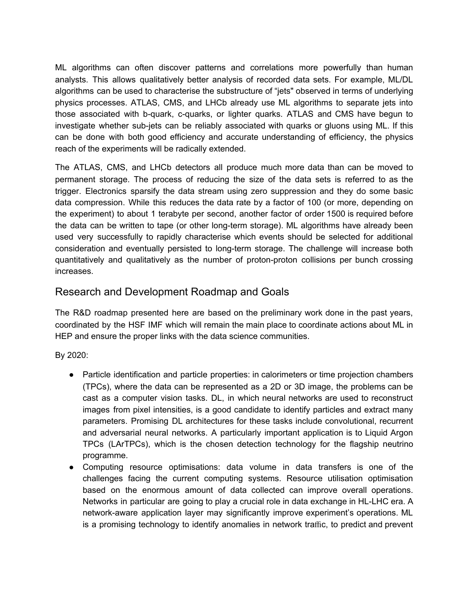ML algorithms can often discover patterns and correlations more powerfully than human analysts. This allows qualitatively better analysis of recorded data sets. For example, ML/DL algorithms can be used to characterise the substructure of "jets" observed in terms of underlying physics processes. ATLAS, CMS, and LHCb already use ML algorithms to separate jets into those associated with b-quark, c-quarks, or lighter quarks. ATLAS and CMS have begun to investigate whether sub-jets can be reliably associated with quarks or gluons using ML. If this can be done with both good efficiency and accurate understanding of efficiency, the physics reach of the experiments will be radically extended.

The ATLAS, CMS, and LHCb detectors all produce much more data than can be moved to permanent storage. The process of reducing the size of the data sets is referred to as the trigger. Electronics sparsify the data stream using zero suppression and they do some basic data compression. While this reduces the data rate by a factor of 100 (or more, depending on the experiment) to about 1 terabyte per second, another factor of order 1500 is required before the data can be written to tape (or other long-term storage). ML algorithms have already been used very successfully to rapidly characterise which events should be selected for additional consideration and eventually persisted to long-term storage. The challenge will increase both quantitatively and qualitatively as the number of proton-proton collisions per bunch crossing increases.

#### Research and Development Roadmap and Goals

The R&D roadmap presented here are based on the preliminary work done in the past years, coordinated by the HSF IMF which will remain the main place to coordinate actions about ML in HEP and ensure the proper links with the data science communities.

#### By 2020:

- Particle identification and particle properties: in calorimeters or time projection chambers (TPCs), where the data can be represented as a 2D or 3D image, the problems can be cast as a computer vision tasks. DL, in which neural networks are used to reconstruct images from pixel intensities, is a good candidate to identify particles and extract many parameters. Promising DL architectures for these tasks include convolutional, recurrent and adversarial neural networks. A particularly important application is to Liquid Argon TPCs (LArTPCs), which is the chosen detection technology for the flagship neutrino programme.
- Computing resource optimisations: data volume in data transfers is one of the challenges facing the current computing systems. Resource utilisation optimisation based on the enormous amount of data collected can improve overall operations. Networks in particular are going to play a crucial role in data exchange in HL-LHC era. A network-aware application layer may significantly improve experiment's operations. ML is a promising technology to identify anomalies in network traffic, to predict and prevent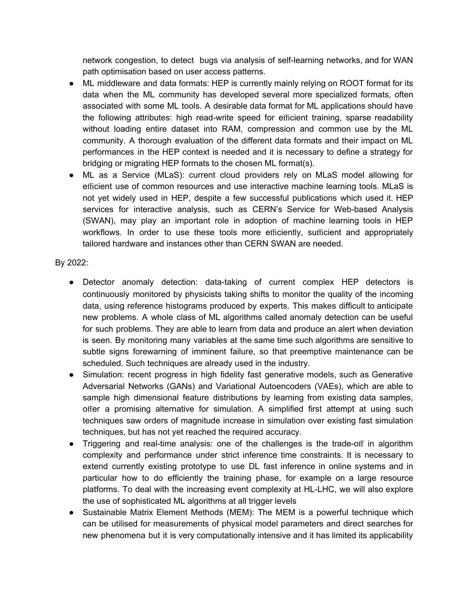network congestion, to detect bugs via analysis of self-learning networks, and for WAN path optimisation based on user access patterns.

- ML middleware and data formats: HEP is currently mainly relying on ROOT format for its data when the ML community has developed several more specialized formats, often associated with some ML tools. A desirable data format for ML applications should have the following attributes: high read-write speed for efficient training, sparse readability without loading entire dataset into RAM, compression and common use by the ML community. A thorough evaluation of the different data formats and their impact on ML performances in the HEP context is needed and it is necessary to define a strategy for bridging or migrating HEP formats to the chosen ML format(s).
- ML as a Service (MLaS): current cloud providers rely on MLaS model allowing for efficient use of common resources and use interactive machine learning tools. MLaS is not yet widely used in HEP, despite a few successful publications which used it. HEP services for interactive analysis, such as CERN's Service for Web-based Analysis (SWAN), may play an important role in adoption of machine learning tools in HEP workflows. In order to use these tools more efficiently, sufficient and appropriately tailored hardware and instances other than CERN SWAN are needed.

#### By 2022:

- Detector anomaly detection: data-taking of current complex HEP detectors is continuously monitored by physicists taking shifts to monitor the quality of the incoming data, using reference histograms produced by experts. This makes difficult to anticipate new problems. A whole class of ML algorithms called anomaly detection can be useful for such problems. They are able to learn from data and produce an alert when deviation is seen. By monitoring many variables at the same time such algorithms are sensitive to subtle signs forewarning of imminent failure, so that preemptive maintenance can be scheduled. Such techniques are already used in the industry.
- Simulation: recent progress in high fidelity fast generative models, such as Generative Adversarial Networks (GANs) and Variational Autoencoders (VAEs), which are able to sample high dimensional feature distributions by learning from existing data samples, offer a promising alternative for simulation. A simplified first attempt at using such techniques saw orders of magnitude increase in simulation over existing fast simulation techniques, but has not yet reached the required accuracy.
- Triggering and real-time analysis: one of the challenges is the trade-off in algorithm complexity and performance under strict inference time constraints. It is necessary to extend currently existing prototype to use DL fast inference in online systems and in particular how to do efficiently the training phase, for example on a large resource platforms. To deal with the increasing event complexity at HL-LHC, we will also explore the use of sophisticated ML algorithms at all trigger levels
- Sustainable Matrix Element Methods (MEM): The MEM is a powerful technique which can be utilised for measurements of physical model parameters and direct searches for new phenomena but it is very computationally intensive and it has limited its applicability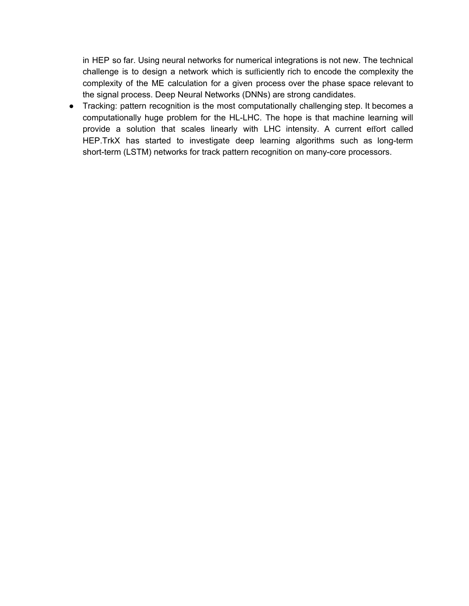in HEP so far. Using neural networks for numerical integrations is not new. The technical challenge is to design a network which is sufficiently rich to encode the complexity the complexity of the ME calculation for a given process over the phase space relevant to the signal process. Deep Neural Networks (DNNs) are strong candidates.

● Tracking: pattern recognition is the most computationally challenging step. It becomes a computationally huge problem for the HL-LHC. The hope is that machine learning will provide a solution that scales linearly with LHC intensity. A current effort called HEP.TrkX has started to investigate deep learning algorithms such as long-term short-term (LSTM) networks for track pattern recognition on many-core processors.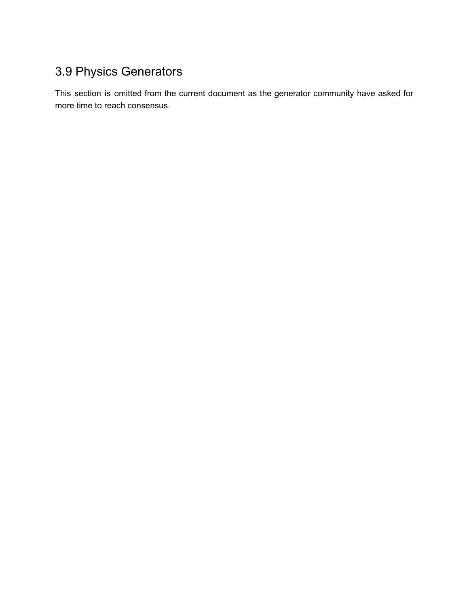# <span id="page-41-0"></span>3.9 Physics Generators

This section is omitted from the current document as the generator community have asked for more time to reach consensus.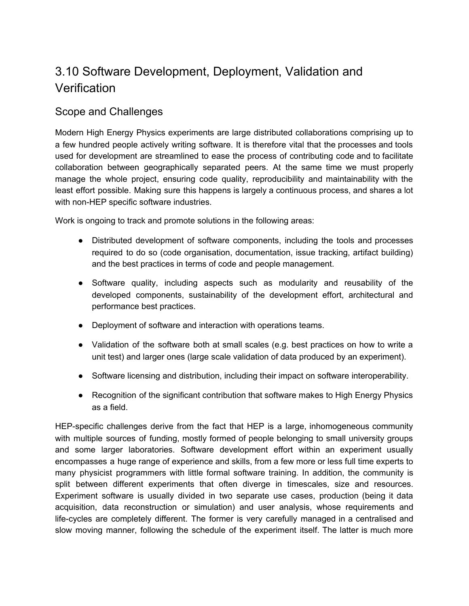# <span id="page-42-0"></span>3.10 Software Development, Deployment, Validation and **Verification**

#### Scope and Challenges

Modern High Energy Physics experiments are large distributed collaborations comprising up to a few hundred people actively writing software. It is therefore vital that the processes and tools used for development are streamlined to ease the process of contributing code and to facilitate collaboration between geographically separated peers. At the same time we must properly manage the whole project, ensuring code quality, reproducibility and maintainability with the least effort possible. Making sure this happens is largely a continuous process, and shares a lot with non-HEP specific software industries.

Work is ongoing to track and promote solutions in the following areas:

- Distributed development of software components, including the tools and processes required to do so (code organisation, documentation, issue tracking, artifact building) and the best practices in terms of code and people management.
- Software quality, including aspects such as modularity and reusability of the developed components, sustainability of the development effort, architectural and performance best practices.
- Deployment of software and interaction with operations teams.
- Validation of the software both at small scales (e.g. best practices on how to write a unit test) and larger ones (large scale validation of data produced by an experiment).
- Software licensing and distribution, including their impact on software interoperability.
- Recognition of the significant contribution that software makes to High Energy Physics as a field.

HEP-specific challenges derive from the fact that HEP is a large, inhomogeneous community with multiple sources of funding, mostly formed of people belonging to small university groups and some larger laboratories. Software development effort within an experiment usually encompasses a huge range of experience and skills, from a few more or less full time experts to many physicist programmers with little formal software training. In addition, the community is split between different experiments that often diverge in timescales, size and resources. Experiment software is usually divided in two separate use cases, production (being it data acquisition, data reconstruction or simulation) and user analysis, whose requirements and life-cycles are completely different. The former is very carefully managed in a centralised and slow moving manner, following the schedule of the experiment itself. The latter is much more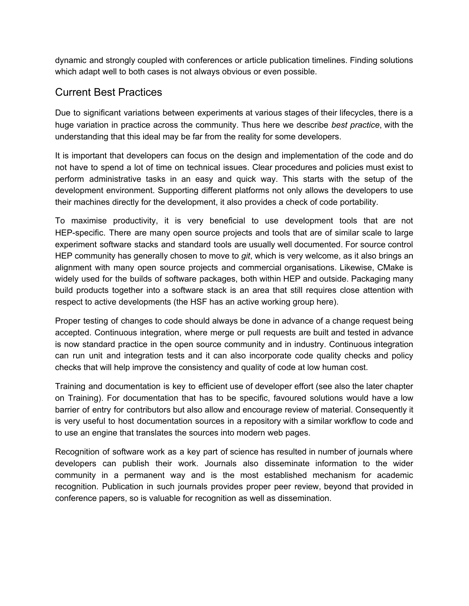dynamic and strongly coupled with conferences or article publication timelines. Finding solutions which adapt well to both cases is not always obvious or even possible.

## Current Best Practices

Due to significant variations between experiments at various stages of their lifecycles, there is a huge variation in practice across the community. Thus here we describe *best practice*, with the understanding that this ideal may be far from the reality for some developers.

It is important that developers can focus on the design and implementation of the code and do not have to spend a lot of time on technical issues. Clear procedures and policies must exist to perform administrative tasks in an easy and quick way. This starts with the setup of the development environment. Supporting different platforms not only allows the developers to use their machines directly for the development, it also provides a check of code portability.

To maximise productivity, it is very beneficial to use development tools that are not HEP-specific. There are many open source projects and tools that are of similar scale to large experiment software stacks and standard tools are usually well documented. For source control HEP community has generally chosen to move to *git*, which is very welcome, as it also brings an alignment with many open source projects and commercial organisations. Likewise, CMake is widely used for the builds of software packages, both within HEP and outside. Packaging many build products together into a software stack is an area that still requires close attention with respect to active developments (the HSF has an active working group here).

Proper testing of changes to code should always be done in advance of a change request being accepted. Continuous integration, where merge or pull requests are built and tested in advance is now standard practice in the open source community and in industry. Continuous integration can run unit and integration tests and it can also incorporate code quality checks and policy checks that will help improve the consistency and quality of code at low human cost.

Training and documentation is key to efficient use of developer effort (see also the later chapter on Training). For documentation that has to be specific, favoured solutions would have a low barrier of entry for contributors but also allow and encourage review of material. Consequently it is very useful to host documentation sources in a repository with a similar workflow to code and to use an engine that translates the sources into modern web pages.

Recognition of software work as a key part of science has resulted in number of journals where developers can publish their work. Journals also disseminate information to the wider community in a permanent way and is the most established mechanism for academic recognition. Publication in such journals provides proper peer review, beyond that provided in conference papers, so is valuable for recognition as well as dissemination.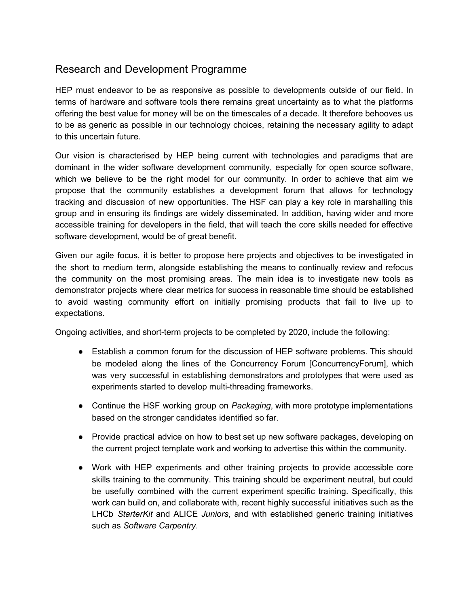## Research and Development Programme

HEP must endeavor to be as responsive as possible to developments outside of our field. In terms of hardware and software tools there remains great uncertainty as to what the platforms offering the best value for money will be on the timescales of a decade. It therefore behooves us to be as generic as possible in our technology choices, retaining the necessary agility to adapt to this uncertain future.

Our vision is characterised by HEP being current with technologies and paradigms that are dominant in the wider software development community, especially for open source software, which we believe to be the right model for our community. In order to achieve that aim we propose that the community establishes a development forum that allows for technology tracking and discussion of new opportunities. The HSF can play a key role in marshalling this group and in ensuring its findings are widely disseminated. In addition, having wider and more accessible training for developers in the field, that will teach the core skills needed for effective software development, would be of great benefit.

Given our agile focus, it is better to propose here projects and objectives to be investigated in the short to medium term, alongside establishing the means to continually review and refocus the community on the most promising areas. The main idea is to investigate new tools as demonstrator projects where clear metrics for success in reasonable time should be established to avoid wasting community effort on initially promising products that fail to live up to expectations.

Ongoing activities, and short-term projects to be completed by 2020, include the following:

- Establish a common forum for the discussion of HEP software problems. This should be modeled along the lines of the Concurrency Forum [ConcurrencyForum], which was very successful in establishing demonstrators and prototypes that were used as experiments started to develop multi-threading frameworks.
- Continue the HSF working group on *Packaging*, with more prototype implementations based on the stronger candidates identified so far.
- Provide practical advice on how to best set up new software packages, developing on the current project template work and working to advertise this within the community.
- Work with HEP experiments and other training projects to provide accessible core skills training to the community. This training should be experiment neutral, but could be usefully combined with the current experiment specific training. Specifically, this work can build on, and collaborate with, recent highly successful initiatives such as the LHCb *StarterKit* and ALICE *Juniors*, and with established generic training initiatives such as *Software Carpentry*.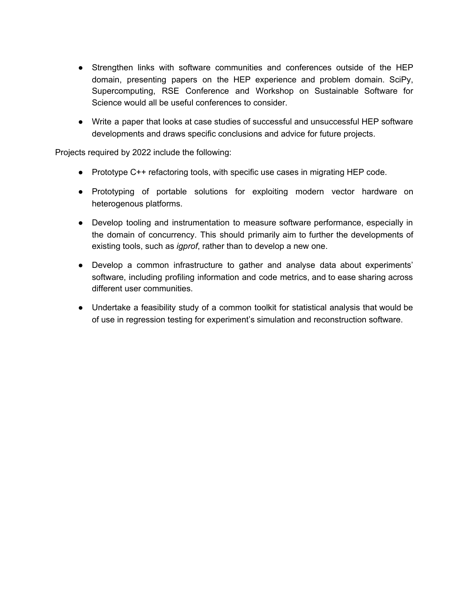- Strengthen links with software communities and conferences outside of the HEP domain, presenting papers on the HEP experience and problem domain. SciPy, Supercomputing, RSE Conference and Workshop on Sustainable Software for Science would all be useful conferences to consider.
- Write a paper that looks at case studies of successful and unsuccessful HEP software developments and draws specific conclusions and advice for future projects.

Projects required by 2022 include the following:

- Prototype C++ refactoring tools, with specific use cases in migrating HEP code.
- Prototyping of portable solutions for exploiting modern vector hardware on heterogenous platforms.
- Develop tooling and instrumentation to measure software performance, especially in the domain of concurrency. This should primarily aim to further the developments of existing tools, such as *igprof*, rather than to develop a new one.
- Develop a common infrastructure to gather and analyse data about experiments' software, including profiling information and code metrics, and to ease sharing across different user communities.
- Undertake a feasibility study of a common toolkit for statistical analysis that would be of use in regression testing for experiment's simulation and reconstruction software.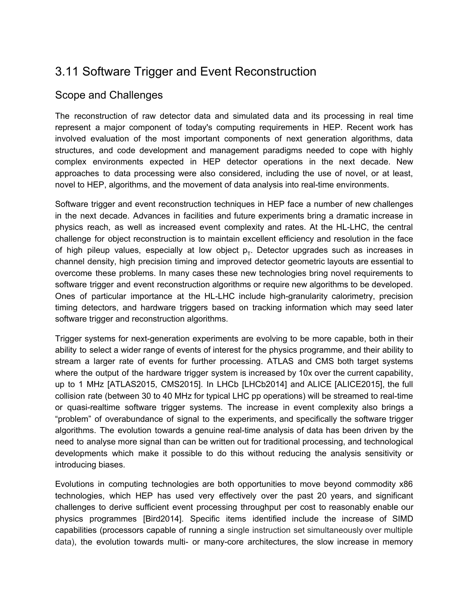# <span id="page-46-0"></span>3.11 Software Trigger and Event Reconstruction

#### Scope and Challenges

The reconstruction of raw detector data and simulated data and its processing in real time represent a major component of today's computing requirements in HEP. Recent work has involved evaluation of the most important components of next generation algorithms, data structures, and code development and management paradigms needed to cope with highly complex environments expected in HEP detector operations in the next decade. New approaches to data processing were also considered, including the use of novel, or at least, novel to HEP, algorithms, and the movement of data analysis into real-time environments.

Software trigger and event reconstruction techniques in HEP face a number of new challenges in the next decade. Advances in facilities and future experiments bring a dramatic increase in physics reach, as well as increased event complexity and rates. At the HL-LHC, the central challenge for object reconstruction is to maintain excellent efficiency and resolution in the face of high pileup values, especially at low object  $p_T$ . Detector upgrades such as increases in channel density, high precision timing and improved detector geometric layouts are essential to overcome these problems. In many cases these new technologies bring novel requirements to software trigger and event reconstruction algorithms or require new algorithms to be developed. Ones of particular importance at the HL-LHC include high-granularity calorimetry, precision timing detectors, and hardware triggers based on tracking information which may seed later software trigger and reconstruction algorithms.

Trigger systems for next-generation experiments are evolving to be more capable, both in their ability to select a wider range of events of interest for the physics programme, and their ability to stream a larger rate of events for further processing. ATLAS and CMS both target systems where the output of the hardware trigger system is increased by 10x over the current capability, up to 1 MHz [ATLAS2015, CMS2015]. In LHCb [LHCb2014] and ALICE [ALICE2015], the full collision rate (between 30 to 40 MHz for typical LHC pp operations) will be streamed to real-time or quasi-realtime software trigger systems. The increase in event complexity also brings a "problem" of overabundance of signal to the experiments, and specifically the software trigger algorithms. The evolution towards a genuine real-time analysis of data has been driven by the need to analyse more signal than can be written out for traditional processing, and technological developments which make it possible to do this without reducing the analysis sensitivity or introducing biases.

Evolutions in computing technologies are both opportunities to move beyond commodity x86 technologies, which HEP has used very effectively over the past 20 years, and significant challenges to derive sufficient event processing throughput per cost to reasonably enable our physics programmes [Bird2014]. Specific items identified include the increase of SIMD capabilities (processors capable of running a single instruction set simultaneously over multiple data), the evolution towards multi- or many-core architectures, the slow increase in memory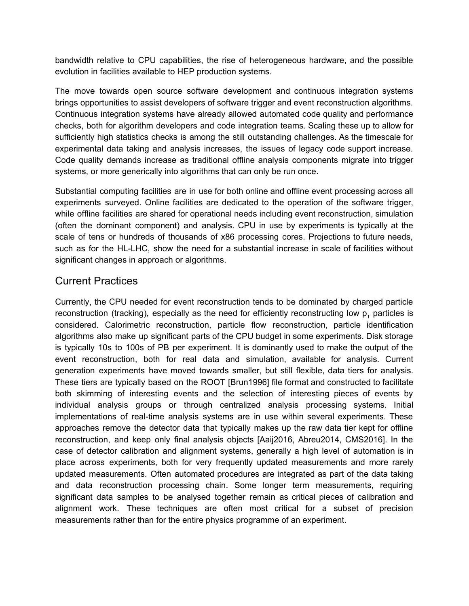bandwidth relative to CPU capabilities, the rise of heterogeneous hardware, and the possible evolution in facilities available to HEP production systems.

The move towards open source software development and continuous integration systems brings opportunities to assist developers of software trigger and event reconstruction algorithms. Continuous integration systems have already allowed automated code quality and performance checks, both for algorithm developers and code integration teams. Scaling these up to allow for sufficiently high statistics checks is among the still outstanding challenges. As the timescale for experimental data taking and analysis increases, the issues of legacy code support increase. Code quality demands increase as traditional offline analysis components migrate into trigger systems, or more generically into algorithms that can only be run once.

Substantial computing facilities are in use for both online and offline event processing across all experiments surveyed. Online facilities are dedicated to the operation of the software trigger, while offline facilities are shared for operational needs including event reconstruction, simulation (often the dominant component) and analysis. CPU in use by experiments is typically at the scale of tens or hundreds of thousands of x86 processing cores. Projections to future needs, such as for the HL-LHC, show the need for a substantial increase in scale of facilities without significant changes in approach or algorithms.

## Current Practices

Currently, the CPU needed for event reconstruction tends to be dominated by charged particle reconstruction (tracking), especially as the need for efficiently reconstructing low  $p<sub>r</sub>$  particles is considered. Calorimetric reconstruction, particle flow reconstruction, particle identification algorithms also make up significant parts of the CPU budget in some experiments. Disk storage is typically 10s to 100s of PB per experiment. It is dominantly used to make the output of the event reconstruction, both for real data and simulation, available for analysis. Current generation experiments have moved towards smaller, but still flexible, data tiers for analysis. These tiers are typically based on the ROOT [Brun1996] file format and constructed to facilitate both skimming of interesting events and the selection of interesting pieces of events by individual analysis groups or through centralized analysis processing systems. Initial implementations of real-time analysis systems are in use within several experiments. These approaches remove the detector data that typically makes up the raw data tier kept for offline reconstruction, and keep only final analysis objects [Aaij2016, Abreu2014, CMS2016]. In the case of detector calibration and alignment systems, generally a high level of automation is in place across experiments, both for very frequently updated measurements and more rarely updated measurements. Often automated procedures are integrated as part of the data taking and data reconstruction processing chain. Some longer term measurements, requiring significant data samples to be analysed together remain as critical pieces of calibration and alignment work. These techniques are often most critical for a subset of precision measurements rather than for the entire physics programme of an experiment.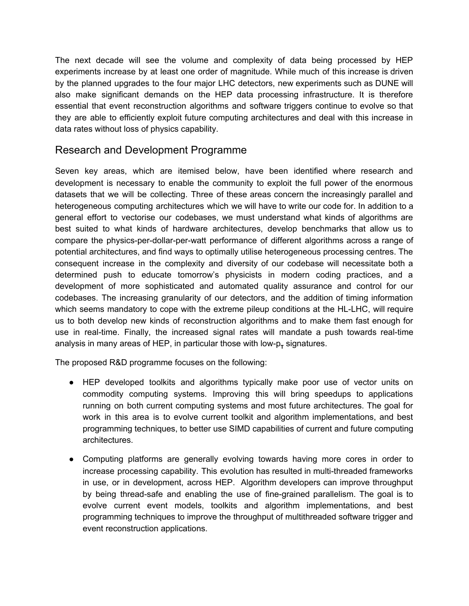The next decade will see the volume and complexity of data being processed by HEP experiments increase by at least one order of magnitude. While much of this increase is driven by the planned upgrades to the four major LHC detectors, new experiments such as DUNE will also make significant demands on the HEP data processing infrastructure. It is therefore essential that event reconstruction algorithms and software triggers continue to evolve so that they are able to efficiently exploit future computing architectures and deal with this increase in data rates without loss of physics capability.

#### Research and Development Programme

Seven key areas, which are itemised below, have been identified where research and development is necessary to enable the community to exploit the full power of the enormous datasets that we will be collecting. Three of these areas concern the increasingly parallel and heterogeneous computing architectures which we will have to write our code for. In addition to a general effort to vectorise our codebases, we must understand what kinds of algorithms are best suited to what kinds of hardware architectures, develop benchmarks that allow us to compare the physics-per-dollar-per-watt performance of different algorithms across a range of potential architectures, and find ways to optimally utilise heterogeneous processing centres. The consequent increase in the complexity and diversity of our codebase will necessitate both a determined push to educate tomorrow's physicists in modern coding practices, and a development of more sophisticated and automated quality assurance and control for our codebases. The increasing granularity of our detectors, and the addition of timing information which seems mandatory to cope with the extreme pileup conditions at the HL-LHC, will require us to both develop new kinds of reconstruction algorithms and to make them fast enough for use in real-time. Finally, the increased signal rates will mandate a push towards real-time analysis in many areas of HEP, in particular those with low- $p<sub>r</sub>$  signatures.

The proposed R&D programme focuses on the following:

- HEP developed toolkits and algorithms typically make poor use of vector units on commodity computing systems. Improving this will bring speedups to applications running on both current computing systems and most future architectures. The goal for work in this area is to evolve current toolkit and algorithm implementations, and best programming techniques, to better use SIMD capabilities of current and future computing architectures.
- Computing platforms are generally evolving towards having more cores in order to increase processing capability. This evolution has resulted in multi-threaded frameworks in use, or in development, across HEP. Algorithm developers can improve throughput by being thread-safe and enabling the use of fine-grained parallelism. The goal is to evolve current event models, toolkits and algorithm implementations, and best programming techniques to improve the throughput of multithreaded software trigger and event reconstruction applications.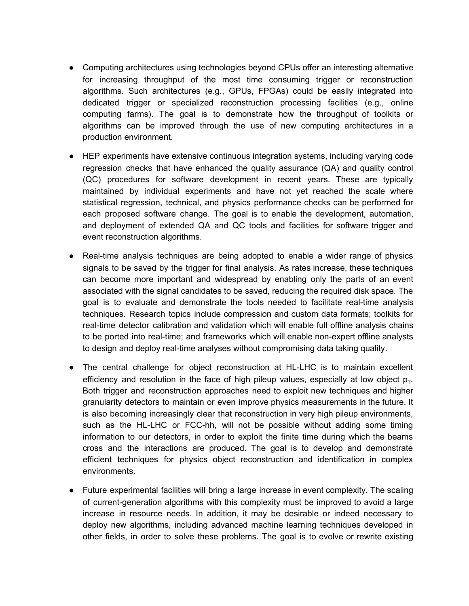- Computing architectures using technologies beyond CPUs offer an interesting alternative for increasing throughput of the most time consuming trigger or reconstruction algorithms. Such architectures (e.g., GPUs, FPGAs) could be easily integrated into dedicated trigger or specialized reconstruction processing facilities (e.g., online computing farms). The goal is to demonstrate how the throughput of toolkits or algorithms can be improved through the use of new computing architectures in a production environment.
- HEP experiments have extensive continuous integration systems, including varying code regression checks that have enhanced the quality assurance (QA) and quality control (QC) procedures for software development in recent years. These are typically maintained by individual experiments and have not yet reached the scale where statistical regression, technical, and physics performance checks can be performed for each proposed software change. The goal is to enable the development, automation, and deployment of extended QA and QC tools and facilities for software trigger and event reconstruction algorithms.
- Real-time analysis techniques are being adopted to enable a wider range of physics signals to be saved by the trigger for final analysis. As rates increase, these techniques can become more important and widespread by enabling only the parts of an event associated with the signal candidates to be saved, reducing the required disk space. The goal is to evaluate and demonstrate the tools needed to facilitate real-time analysis techniques. Research topics include compression and custom data formats; toolkits for real-time detector calibration and validation which will enable full offline analysis chains to be ported into real-time; and frameworks which will enable non-expert offline analysts to design and deploy real-time analyses without compromising data taking quality.
- The central challenge for object reconstruction at HL-LHC is to maintain excellent efficiency and resolution in the face of high pileup values, especially at low object  $p_{T}$ . Both trigger and reconstruction approaches need to exploit new techniques and higher granularity detectors to maintain or even improve physics measurements in the future. It is also becoming increasingly clear that reconstruction in very high pileup environments, such as the HL-LHC or FCC-hh, will not be possible without adding some timing information to our detectors, in order to exploit the finite time during which the beams cross and the interactions are produced. The goal is to develop and demonstrate efficient techniques for physics object reconstruction and identification in complex environments.
- Future experimental facilities will bring a large increase in event complexity. The scaling of current-generation algorithms with this complexity must be improved to avoid a large increase in resource needs. In addition, it may be desirable or indeed necessary to deploy new algorithms, including advanced machine learning techniques developed in other fields, in order to solve these problems. The goal is to evolve or rewrite existing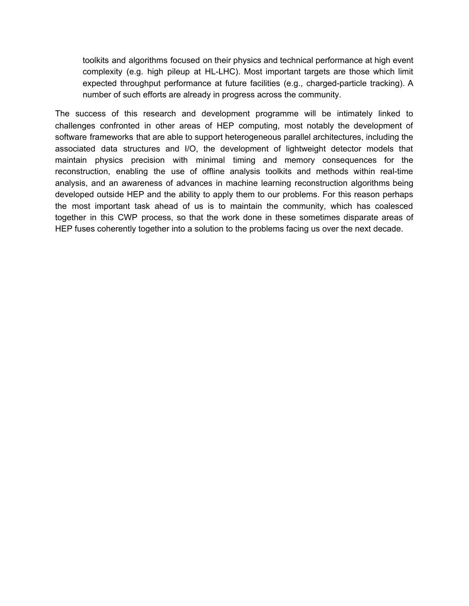toolkits and algorithms focused on their physics and technical performance at high event complexity (e.g. high pileup at HL-LHC). Most important targets are those which limit expected throughput performance at future facilities (e.g., charged-particle tracking). A number of such efforts are already in progress across the community.

The success of this research and development programme will be intimately linked to challenges confronted in other areas of HEP computing, most notably the development of software frameworks that are able to support heterogeneous parallel architectures, including the associated data structures and I/O, the development of lightweight detector models that maintain physics precision with minimal timing and memory consequences for the reconstruction, enabling the use of offline analysis toolkits and methods within real-time analysis, and an awareness of advances in machine learning reconstruction algorithms being developed outside HEP and the ability to apply them to our problems. For this reason perhaps the most important task ahead of us is to maintain the community, which has coalesced together in this CWP process, so that the work done in these sometimes disparate areas of HEP fuses coherently together into a solution to the problems facing us over the next decade.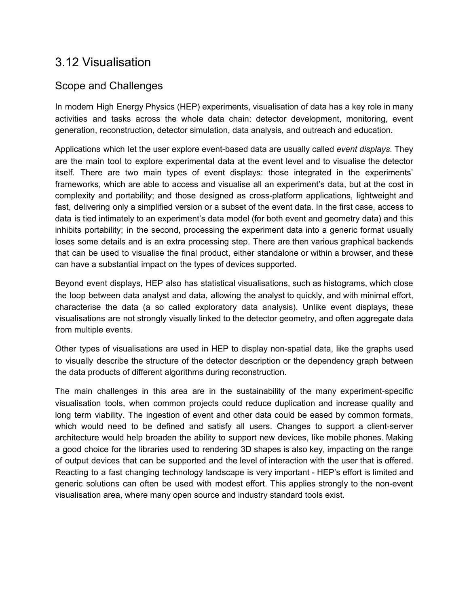# <span id="page-51-0"></span>3.12 Visualisation

## Scope and Challenges

In modern High Energy Physics (HEP) experiments, visualisation of data has a key role in many activities and tasks across the whole data chain: detector development, monitoring, event generation, reconstruction, detector simulation, data analysis, and outreach and education.

Applications which let the user explore event-based data are usually called *event displays*. They are the main tool to explore experimental data at the event level and to visualise the detector itself. There are two main types of event displays: those integrated in the experiments' frameworks, which are able to access and visualise all an experiment's data, but at the cost in complexity and portability; and those designed as cross-platform applications, lightweight and fast, delivering only a simplified version or a subset of the event data. In the first case, access to data is tied intimately to an experiment's data model (for both event and geometry data) and this inhibits portability; in the second, processing the experiment data into a generic format usually loses some details and is an extra processing step. There are then various graphical backends that can be used to visualise the final product, either standalone or within a browser, and these can have a substantial impact on the types of devices supported.

Beyond event displays, HEP also has statistical visualisations, such as histograms, which close the loop between data analyst and data, allowing the analyst to quickly, and with minimal effort, characterise the data (a so called exploratory data analysis). Unlike event displays, these visualisations are not strongly visually linked to the detector geometry, and often aggregate data from multiple events.

Other types of visualisations are used in HEP to display non-spatial data, like the graphs used to visually describe the structure of the detector description or the dependency graph between the data products of different algorithms during reconstruction.

The main challenges in this area are in the sustainability of the many experiment-specific visualisation tools, when common projects could reduce duplication and increase quality and long term viability. The ingestion of event and other data could be eased by common formats, which would need to be defined and satisfy all users. Changes to support a client-server architecture would help broaden the ability to support new devices, like mobile phones. Making a good choice for the libraries used to rendering 3D shapes is also key, impacting on the range of output devices that can be supported and the level of interaction with the user that is offered. Reacting to a fast changing technology landscape is very important - HEP's effort is limited and generic solutions can often be used with modest effort. This applies strongly to the non-event visualisation area, where many open source and industry standard tools exist.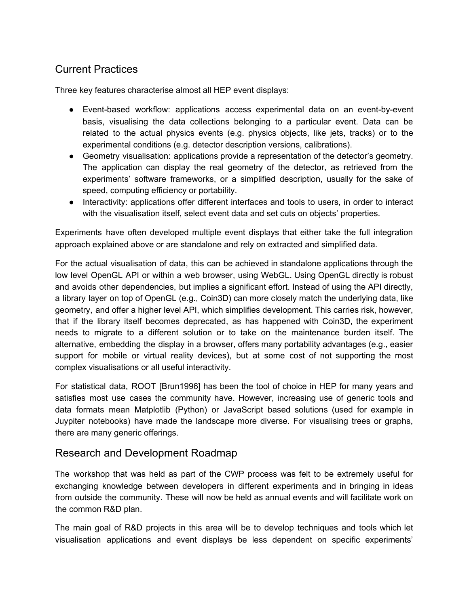## Current Practices

Three key features characterise almost all HEP event displays:

- Event-based workflow: applications access experimental data on an event-by-event basis, visualising the data collections belonging to a particular event. Data can be related to the actual physics events (e.g. physics objects, like jets, tracks) or to the experimental conditions (e.g. detector description versions, calibrations).
- Geometry visualisation: applications provide a representation of the detector's geometry. The application can display the real geometry of the detector, as retrieved from the experiments' software frameworks, or a simplified description, usually for the sake of speed, computing efficiency or portability.
- Interactivity: applications offer different interfaces and tools to users, in order to interact with the visualisation itself, select event data and set cuts on objects' properties.

Experiments have often developed multiple event displays that either take the full integration approach explained above or are standalone and rely on extracted and simplified data.

For the actual visualisation of data, this can be achieved in standalone applications through the low level OpenGL API or within a web browser, using WebGL. Using OpenGL directly is robust and avoids other dependencies, but implies a significant effort. Instead of using the API directly, a library layer on top of OpenGL (e.g., Coin3D) can more closely match the underlying data, like geometry, and offer a higher level API, which simplifies development. This carries risk, however, that if the library itself becomes deprecated, as has happened with Coin3D, the experiment needs to migrate to a different solution or to take on the maintenance burden itself. The alternative, embedding the display in a browser, offers many portability advantages (e.g., easier support for mobile or virtual reality devices), but at some cost of not supporting the most complex visualisations or all useful interactivity.

For statistical data, ROOT [Brun1996] has been the tool of choice in HEP for many years and satisfies most use cases the community have. However, increasing use of generic tools and data formats mean Matplotlib (Python) or JavaScript based solutions (used for example in Juypiter notebooks) have made the landscape more diverse. For visualising trees or graphs, there are many generic offerings.

#### Research and Development Roadmap

The workshop that was held as part of the CWP process was felt to be extremely useful for exchanging knowledge between developers in different experiments and in bringing in ideas from outside the community. These will now be held as annual events and will facilitate work on the common R&D plan.

The main goal of R&D projects in this area will be to develop techniques and tools which let visualisation applications and event displays be less dependent on specific experiments'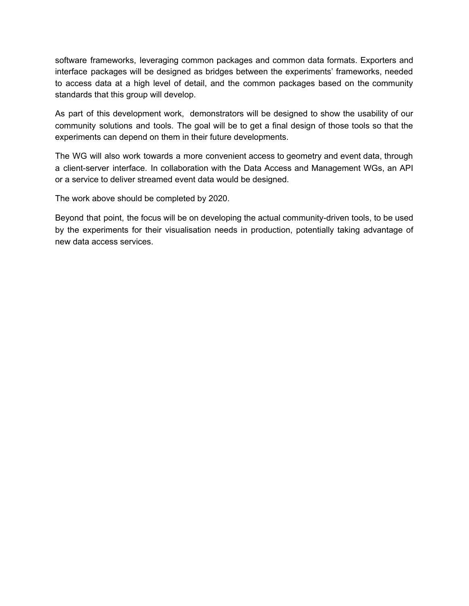software frameworks, leveraging common packages and common data formats. Exporters and interface packages will be designed as bridges between the experiments' frameworks, needed to access data at a high level of detail, and the common packages based on the community standards that this group will develop.

As part of this development work, demonstrators will be designed to show the usability of our community solutions and tools. The goal will be to get a final design of those tools so that the experiments can depend on them in their future developments.

The WG will also work towards a more convenient access to geometry and event data, through a client-server interface. In collaboration with the Data Access and Management WGs, an API or a service to deliver streamed event data would be designed.

The work above should be completed by 2020.

Beyond that point, the focus will be on developing the actual community-driven tools, to be used by the experiments for their visualisation needs in production, potentially taking advantage of new data access services.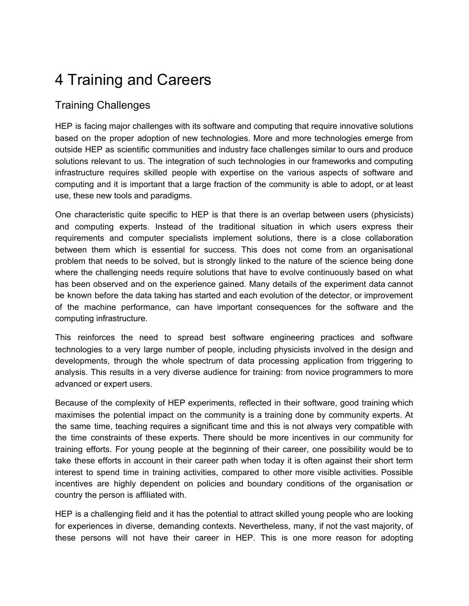# <span id="page-54-0"></span>4 Training and Careers

## Training Challenges

HEP is facing major challenges with its software and computing that require innovative solutions based on the proper adoption of new technologies. More and more technologies emerge from outside HEP as scientific communities and industry face challenges similar to ours and produce solutions relevant to us. The integration of such technologies in our frameworks and computing infrastructure requires skilled people with expertise on the various aspects of software and computing and it is important that a large fraction of the community is able to adopt, or at least use, these new tools and paradigms.

One characteristic quite specific to HEP is that there is an overlap between users (physicists) and computing experts. Instead of the traditional situation in which users express their requirements and computer specialists implement solutions, there is a close collaboration between them which is essential for success. This does not come from an organisational problem that needs to be solved, but is strongly linked to the nature of the science being done where the challenging needs require solutions that have to evolve continuously based on what has been observed and on the experience gained. Many details of the experiment data cannot be known before the data taking has started and each evolution of the detector, or improvement of the machine performance, can have important consequences for the software and the computing infrastructure.

This reinforces the need to spread best software engineering practices and software technologies to a very large number of people, including physicists involved in the design and developments, through the whole spectrum of data processing application from triggering to analysis. This results in a very diverse audience for training: from novice programmers to more advanced or expert users.

Because of the complexity of HEP experiments, reflected in their software, good training which maximises the potential impact on the community is a training done by community experts. At the same time, teaching requires a significant time and this is not always very compatible with the time constraints of these experts. There should be more incentives in our community for training efforts. For young people at the beginning of their career, one possibility would be to take these efforts in account in their career path when today it is often against their short term interest to spend time in training activities, compared to other more visible activities. Possible incentives are highly dependent on policies and boundary conditions of the organisation or country the person is affiliated with.

HEP is a challenging field and it has the potential to attract skilled young people who are looking for experiences in diverse, demanding contexts. Nevertheless, many, if not the vast majority, of these persons will not have their career in HEP. This is one more reason for adopting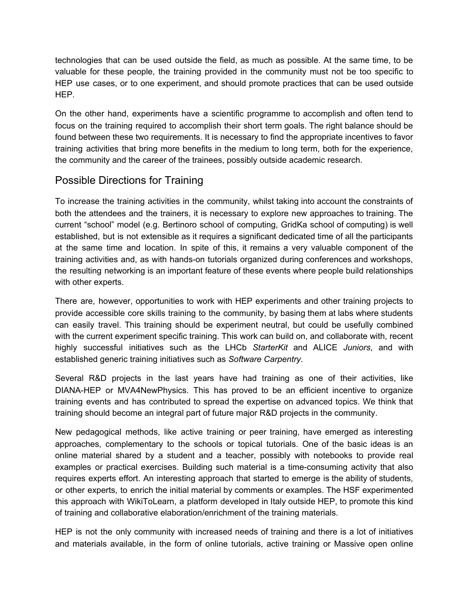technologies that can be used outside the field, as much as possible. At the same time, to be valuable for these people, the training provided in the community must not be too specific to HEP use cases, or to one experiment, and should promote practices that can be used outside HEP.

On the other hand, experiments have a scientific programme to accomplish and often tend to focus on the training required to accomplish their short term goals. The right balance should be found between these two requirements. It is necessary to find the appropriate incentives to favor training activities that bring more benefits in the medium to long term, both for the experience, the community and the career of the trainees, possibly outside academic research.

### Possible Directions for Training

To increase the training activities in the community, whilst taking into account the constraints of both the attendees and the trainers, it is necessary to explore new approaches to training. The current "school" model (e.g. Bertinoro school of computing, GridKa school of computing) is well established, but is not extensible as it requires a significant dedicated time of all the participants at the same time and location. In spite of this, it remains a very valuable component of the training activities and, as with hands-on tutorials organized during conferences and workshops, the resulting networking is an important feature of these events where people build relationships with other experts.

There are, however, opportunities to work with HEP experiments and other training projects to provide accessible core skills training to the community, by basing them at labs where students can easily travel. This training should be experiment neutral, but could be usefully combined with the current experiment specific training. This work can build on, and collaborate with, recent highly successful initiatives such as the LHCb *StarterKit* and ALICE *Juniors*, and with established generic training initiatives such as *Software Carpentry*.

Several R&D projects in the last years have had training as one of their activities, like DIANA-HEP or MVA4NewPhysics. This has proved to be an efficient incentive to organize training events and has contributed to spread the expertise on advanced topics. We think that training should become an integral part of future major R&D projects in the community.

New pedagogical methods, like active training or peer training, have emerged as interesting approaches, complementary to the schools or topical tutorials. One of the basic ideas is an online material shared by a student and a teacher, possibly with notebooks to provide real examples or practical exercises. Building such material is a time-consuming activity that also requires experts effort. An interesting approach that started to emerge is the ability of students, or other experts, to enrich the initial material by comments or examples. The HSF experimented this approach with WikiToLearn, a platform developed in Italy outside HEP, to promote this kind of training and collaborative elaboration/enrichment of the training materials.

HEP is not the only community with increased needs of training and there is a lot of initiatives and materials available, in the form of online tutorials, active training or Massive open online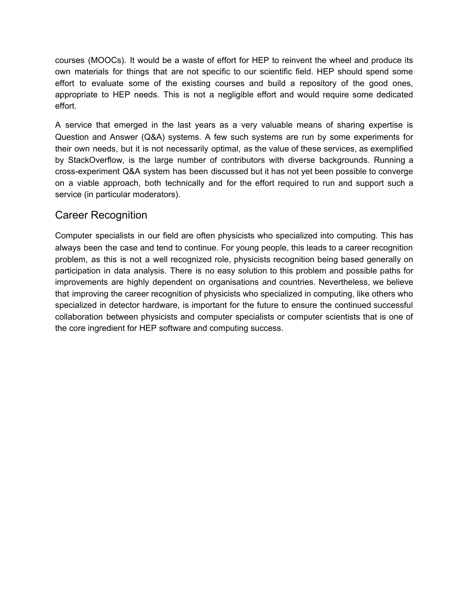courses (MOOCs). It would be a waste of effort for HEP to reinvent the wheel and produce its own materials for things that are not specific to our scientific field. HEP should spend some effort to evaluate some of the existing courses and build a repository of the good ones, appropriate to HEP needs. This is not a negligible effort and would require some dedicated effort.

A service that emerged in the last years as a very valuable means of sharing expertise is Question and Answer (Q&A) systems. A few such systems are run by some experiments for their own needs, but it is not necessarily optimal, as the value of these services, as exemplified by StackOverflow, is the large number of contributors with diverse backgrounds. Running a cross-experiment Q&A system has been discussed but it has not yet been possible to converge on a viable approach, both technically and for the effort required to run and support such a service (in particular moderators).

### Career Recognition

Computer specialists in our field are often physicists who specialized into computing. This has always been the case and tend to continue. For young people, this leads to a career recognition problem, as this is not a well recognized role, physicists recognition being based generally on participation in data analysis. There is no easy solution to this problem and possible paths for improvements are highly dependent on organisations and countries. Nevertheless, we believe that improving the career recognition of physicists who specialized in computing, like others who specialized in detector hardware, is important for the future to ensure the continued successful collaboration between physicists and computer specialists or computer scientists that is one of the core ingredient for HEP software and computing success.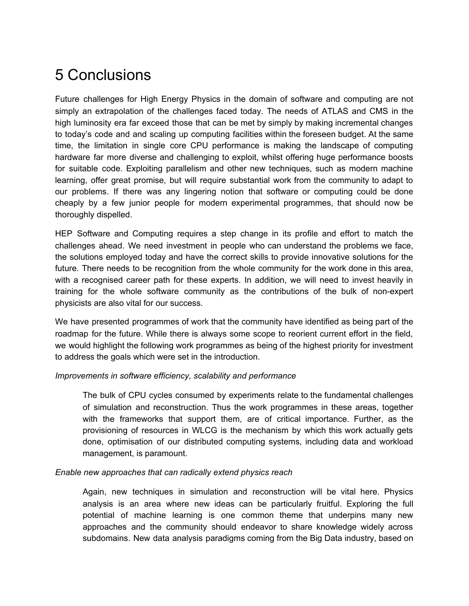# <span id="page-57-0"></span>5 Conclusions

Future challenges for High Energy Physics in the domain of software and computing are not simply an extrapolation of the challenges faced today. The needs of ATLAS and CMS in the high luminosity era far exceed those that can be met by simply by making incremental changes to today's code and and scaling up computing facilities within the foreseen budget. At the same time, the limitation in single core CPU performance is making the landscape of computing hardware far more diverse and challenging to exploit, whilst offering huge performance boosts for suitable code. Exploiting parallelism and other new techniques, such as modern machine learning, offer great promise, but will require substantial work from the community to adapt to our problems. If there was any lingering notion that software or computing could be done cheaply by a few junior people for modern experimental programmes, that should now be thoroughly dispelled.

HEP Software and Computing requires a step change in its profile and effort to match the challenges ahead. We need investment in people who can understand the problems we face, the solutions employed today and have the correct skills to provide innovative solutions for the future. There needs to be recognition from the whole community for the work done in this area, with a recognised career path for these experts. In addition, we will need to invest heavily in training for the whole software community as the contributions of the bulk of non-expert physicists are also vital for our success.

We have presented programmes of work that the community have identified as being part of the roadmap for the future. While there is always some scope to reorient current effort in the field, we would highlight the following work programmes as being of the highest priority for investment to address the goals which were set in the introduction.

#### *Improvements in software efficiency, scalability and performance*

The bulk of CPU cycles consumed by experiments relate to the fundamental challenges of simulation and reconstruction. Thus the work programmes in these areas, together with the frameworks that support them, are of critical importance. Further, as the provisioning of resources in WLCG is the mechanism by which this work actually gets done, optimisation of our distributed computing systems, including data and workload management, is paramount.

#### *Enable new approaches that can radically extend physics reach*

Again, new techniques in simulation and reconstruction will be vital here. Physics analysis is an area where new ideas can be particularly fruitful. Exploring the full potential of machine learning is one common theme that underpins many new approaches and the community should endeavor to share knowledge widely across subdomains. New data analysis paradigms coming from the Big Data industry, based on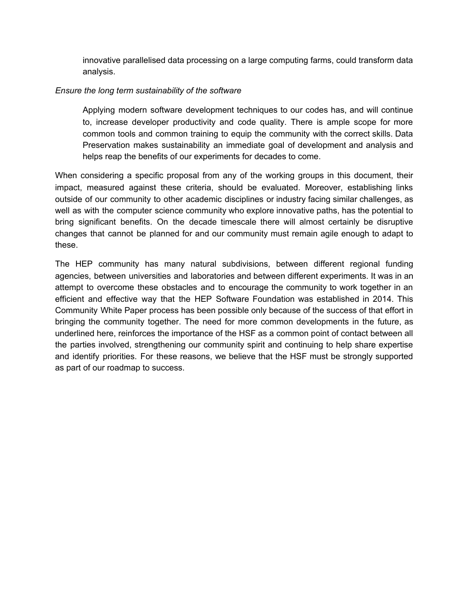innovative parallelised data processing on a large computing farms, could transform data analysis.

#### *Ensure the long term sustainability of the software*

Applying modern software development techniques to our codes has, and will continue to, increase developer productivity and code quality. There is ample scope for more common tools and common training to equip the community with the correct skills. Data Preservation makes sustainability an immediate goal of development and analysis and helps reap the benefits of our experiments for decades to come.

When considering a specific proposal from any of the working groups in this document, their impact, measured against these criteria, should be evaluated. Moreover, establishing links outside of our community to other academic disciplines or industry facing similar challenges, as well as with the computer science community who explore innovative paths, has the potential to bring significant benefits. On the decade timescale there will almost certainly be disruptive changes that cannot be planned for and our community must remain agile enough to adapt to these.

The HEP community has many natural subdivisions, between different regional funding agencies, between universities and laboratories and between different experiments. It was in an attempt to overcome these obstacles and to encourage the community to work together in an efficient and effective way that the HEP Software Foundation was established in 2014. This Community White Paper process has been possible only because of the success of that effort in bringing the community together. The need for more common developments in the future, as underlined here, reinforces the importance of the HSF as a common point of contact between all the parties involved, strengthening our community spirit and continuing to help share expertise and identify priorities. For these reasons, we believe that the HSF must be strongly supported as part of our roadmap to success.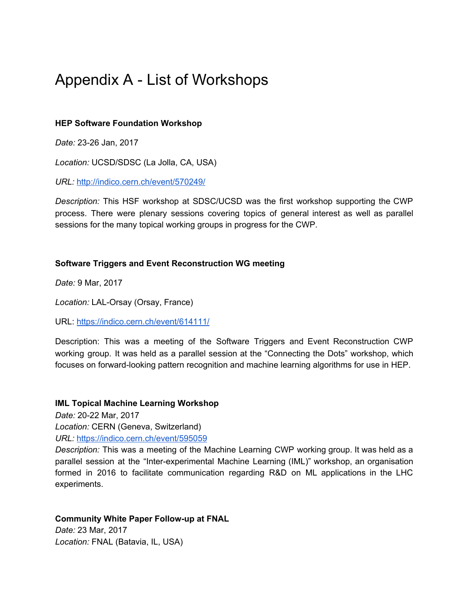# <span id="page-59-0"></span>Appendix A - List of Workshops

#### **HEP Software Foundation Workshop**

*Date:* 23-26 Jan, 2017

*Location:* UCSD/SDSC (La Jolla, CA, USA)

*URL:* <http://indico.cern.ch/event/570249/>

*Description:* This HSF workshop at SDSC/UCSD was the first workshop supporting the CWP process. There were plenary sessions covering topics of general interest as well as parallel sessions for the many topical working groups in progress for the CWP.

#### **Software Triggers and Event Reconstruction WG meeting**

*Date:* 9 Mar, 2017

*Location:* LAL-Orsay (Orsay, France)

URL: <https://indico.cern.ch/event/614111/>

Description: This was a meeting of the Software Triggers and Event Reconstruction CWP working group. It was held as a parallel session at the "Connecting the Dots" workshop, which focuses on forward-looking pattern recognition and machine learning algorithms for use in HEP.

#### **IML Topical Machine Learning Workshop**

*Date:* 20-22 Mar, 2017

*Location:* CERN (Geneva, Switzerland) *URL:* <https://indico.cern.ch/event/595059>

*Description:* This was a meeting of the Machine Learning CWP working group. It was held as a parallel session at the "Inter-experimental Machine Learning (IML)" workshop, an organisation formed in 2016 to facilitate communication regarding R&D on ML applications in the LHC experiments.

#### **Community White Paper Follow-up at FNAL**

*Date:* 23 Mar, 2017 *Location:* FNAL (Batavia, IL, USA)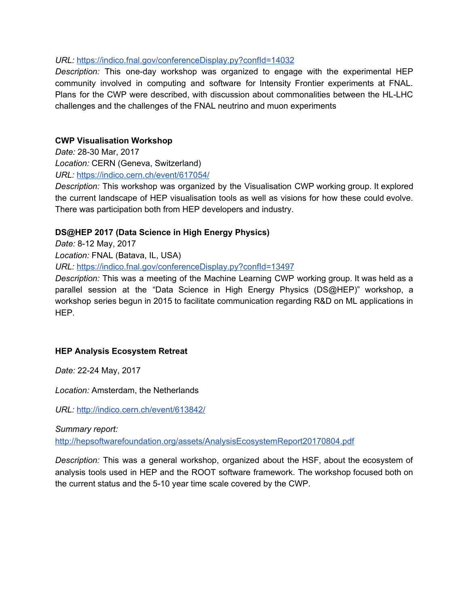#### *URL:* <https://indico.fnal.gov/conferenceDisplay.py?confId=14032>

*Description:* This one-day workshop was organized to engage with the experimental HEP community involved in computing and software for Intensity Frontier experiments at FNAL. Plans for the CWP were described, with discussion about commonalities between the HL-LHC challenges and the challenges of the FNAL neutrino and muon experiments

#### **CWP Visualisation Workshop**

*Date:* 28-30 Mar, 2017 *Location:* CERN (Geneva, Switzerland) *URL:* <https://indico.cern.ch/event/617054/>

*Description:* This workshop was organized by the Visualisation CWP working group. It explored the current landscape of HEP visualisation tools as well as visions for how these could evolve. There was participation both from HEP developers and industry.

#### **DS@HEP 2017 (Data Science in High Energy Physics)**

*Date:* 8-12 May, 2017

*Location:* FNAL (Batava, IL, USA)

*URL:* <https://indico.fnal.gov/conferenceDisplay.py?confId=13497>

*Description:* This was a meeting of the Machine Learning CWP working group. It was held as a parallel session at the "Data Science in High Energy Physics (DS@HEP)" workshop, a workshop series begun in 2015 to facilitate communication regarding R&D on ML applications in HEP.

#### **HEP Analysis Ecosystem Retreat**

*Date:* 22-24 May, 2017

*Location:* Amsterdam, the Netherlands

*URL:* <http://indico.cern.ch/event/613842/>

*Summary report:*

<http://hepsoftwarefoundation.org/assets/AnalysisEcosystemReport20170804.pdf>

*Description:* This was a general workshop, organized about the HSF, about the ecosystem of analysis tools used in HEP and the ROOT software framework. The workshop focused both on the current status and the 5-10 year time scale covered by the CWP.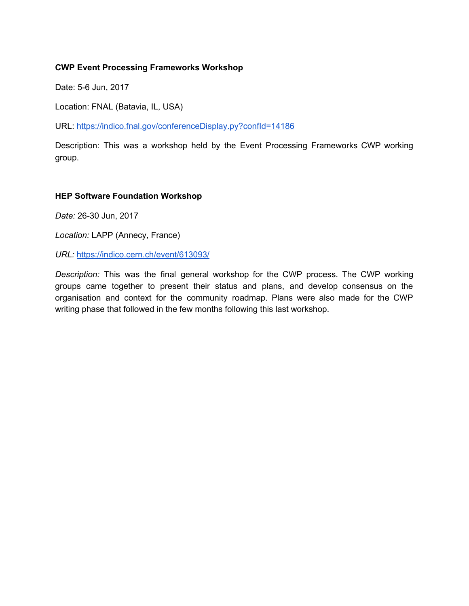#### **CWP Event Processing Frameworks Workshop**

Date: 5-6 Jun, 2017

Location: FNAL (Batavia, IL, USA)

URL: https://indico.fnal.gov/conferenceDisplay.py?confld=14186

Description: This was a workshop held by the Event Processing Frameworks CWP working group.

#### **HEP Software Foundation Workshop**

*Date:* 26-30 Jun, 2017

*Location:* LAPP (Annecy, France)

*URL:* <https://indico.cern.ch/event/613093/>

*Description:* This was the final general workshop for the CWP process. The CWP working groups came together to present their status and plans, and develop consensus on the organisation and context for the community roadmap. Plans were also made for the CWP writing phase that followed in the few months following this last workshop.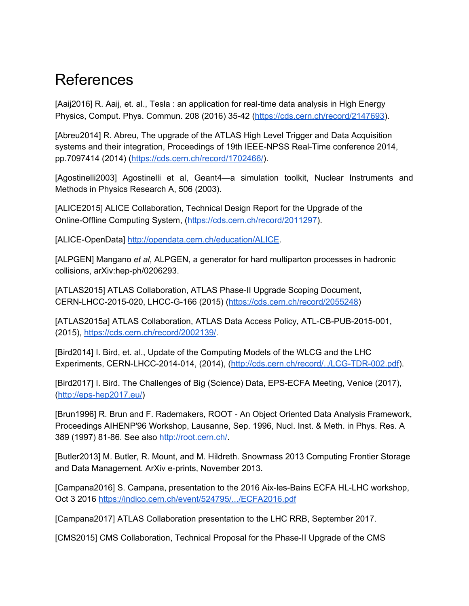# <span id="page-62-0"></span>References

[Aaij2016] R. Aaij, et. al., Tesla : an application for real-time data analysis in High Energy Physics, Comput. Phys. Commun. 208 (2016) 35-42 (<https://cds.cern.ch/record/2147693>).

[Abreu2014] R. Abreu, The upgrade of the ATLAS High Level Trigger and Data Acquisition systems and their integration, Proceedings of 19th IEEE-NPSS Real-Time conference 2014, pp.7097414 (2014) ([https://cds.cern.ch/record/1702466/\)](https://cds.cern.ch/record/1702466/).

[Agostinelli2003] Agostinelli et al, Geant4—a simulation toolkit, Nuclear Instruments and Methods in Physics Research A, 506 (2003).

[ALICE2015] ALICE Collaboration, Technical Design Report for the Upgrade of the Online-Offline Computing System, (<https://cds.cern.ch/record/2011297>).

[ALICE-OpenData] <http://opendata.cern.ch/education/ALICE>.

[ALPGEN] Mangano *et al*, ALPGEN, a generator for hard multiparton processes in hadronic collisions, arXiv:hep-ph/0206293.

[ATLAS2015] ATLAS Collaboration, ATLAS Phase-II Upgrade Scoping Document, CERN-LHCC-2015-020, LHCC-G-166 (2015) [\(https://cds.cern.ch/record/2055248\)](https://cds.cern.ch/record/2055248)

[ATLAS2015a] ATLAS Collaboration, ATLAS Data Access Policy, ATL-CB-PUB-2015-001, (2015), <https://cds.cern.ch/record/2002139/>.

[Bird2014] I. Bird, et. al., Update of the Computing Models of the WLCG and the LHC Experiments, CERN-LHCC-2014-014, (2014), ([http://cds.cern.ch/record/../LCG-TDR-002.pdf](http://cds.cern.ch/record/1695401/files/LCG-TDR-002.pdf)).

[Bird2017] I. Bird. The Challenges of Big (Science) Data, EPS-ECFA Meeting, Venice (2017), ([http://eps-hep2017.eu/\)](http://eps-hep2017.eu/)

[Brun1996] R. Brun and F. Rademakers, ROOT - An Object Oriented Data Analysis Framework, Proceedings AIHENP'96 Workshop, Lausanne, Sep. 1996, Nucl. Inst. & Meth. in Phys. Res. A 389 (1997) 81-86. See also [http://root.cern.ch/.](http://root.cern.ch/)

[Butler2013] M. Butler, R. Mount, and M. Hildreth. Snowmass 2013 Computing Frontier Storage and Data Management. ArXiv e-prints, November 2013.

[Campana2016] S. Campana, presentation to the 2016 Aix-les-Bains ECFA HL-LHC workshop, Oct 3 2016 [https://indico.cern.ch/event/524795/.../ECFA2016.pdf](https://indico.cern.ch/event/524795/contributions/2236590/attachments/1347419/2032314/ECFA2016.pdf)

[Campana2017] ATLAS Collaboration presentation to the LHC RRB, September 2017.

[CMS2015] CMS Collaboration, Technical Proposal for the Phase-II Upgrade of the CMS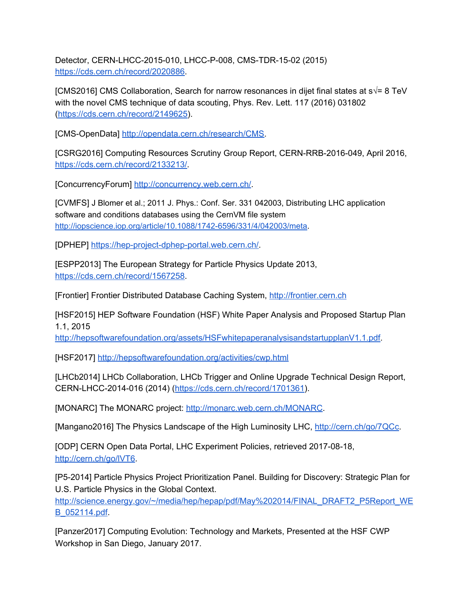Detector, CERN-LHCC-2015-010, LHCC-P-008, CMS-TDR-15-02 (2015) [https://cds.cern.ch/record/2020886.](https://cds.cern.ch/record/2020886)

[CMS2016] CMS Collaboration, Search for narrow resonances in dijet final states at s√= 8 TeV with the novel CMS technique of data scouting, Phys. Rev. Lett. 117 (2016) 031802 ([https://cds.cern.ch/record/2149625\)](https://cds.cern.ch/record/2149625).

[CMS-OpenData] <http://opendata.cern.ch/research/CMS>.

[CSRG2016] Computing Resources Scrutiny Group Report, CERN-RRB-2016-049, April 2016, <https://cds.cern.ch/record/2133213/>.

[ConcurrencyForum] [http://concurrency.web.cern.ch/.](http://concurrency.web.cern.ch/)

[CVMFS] J Blomer et al.; 2011 J. Phys.: Conf. Ser. 331 042003, Distributing LHC application software and conditions databases using the CernVM file system <http://iopscience.iop.org/article/10.1088/1742-6596/331/4/042003/meta>.

[DPHEP] [https://hep-project-dphep-portal.web.cern.ch/.](https://hep-project-dphep-portal.web.cern.ch/)

[ESPP2013] The European Strategy for Particle Physics Update 2013, [https://cds.cern.ch/record/1567258.](https://cds.cern.ch/record/1567258)

[Frontier] Frontier Distributed Database Caching System, [http://frontier.cern.ch](http://frontier.cern.ch/)

[HSF2015] HEP Software Foundation (HSF) White Paper Analysis and Proposed Startup Plan 1.1, 2015

<http://hepsoftwarefoundation.org/assets/HSFwhitepaperanalysisandstartupplanV1.1.pdf>.

[HSF2017] <http://hepsoftwarefoundation.org/activities/cwp.html>

[LHCb2014] LHCb Collaboration, LHCb Trigger and Online Upgrade Technical Design Report, CERN-LHCC-2014-016 (2014) ([https://cds.cern.ch/record/1701361\)](https://cds.cern.ch/record/1701361).

[MONARC] The MONARC project: [http://monarc.web.cern.ch/MONARC.](http://monarc.web.cern.ch/MONARC)

[Mangano2016] The Physics Landscape of the High Luminosity LHC, <http://cern.ch/go/7QCc>.

[ODP] CERN Open Data Portal, LHC Experiment Policies, retrieved 2017-08-18, <http://cern.ch/go/lVT6>.

[P5-2014] Particle Physics Project Prioritization Panel. Building for Discovery: Strategic Plan for U.S. Particle Physics in the Global Context.

[http://science.energy.gov/~/media/hep/hepap/pdf/May%202014/FINAL\\_DRAFT2\\_P5Report\\_WE](http://science.energy.gov/~/media/hep/hepap/pdf/May%202014/FINAL_DRAFT2_P5Report_WEB_052114.pdf) [B\\_052114.pdf](http://science.energy.gov/~/media/hep/hepap/pdf/May%202014/FINAL_DRAFT2_P5Report_WEB_052114.pdf).

[Panzer2017] Computing Evolution: Technology and Markets, Presented at the HSF CWP Workshop in San Diego, January 2017.